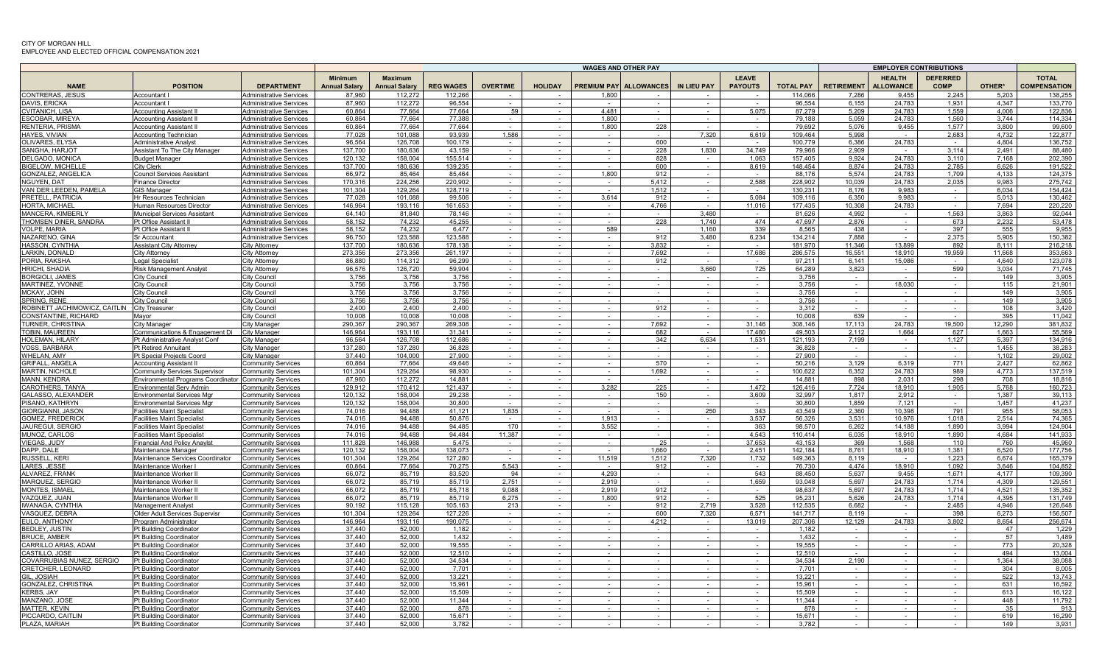|                                                    |                                                                          |                                                                  |                                        | <b>WAGES AND OTHER PAY</b>             |                   |                 |                  |                |                               | <b>EMPLOYER CONTRIBUTIONS</b> |                                |                    |                   |                                   |                                |                |                                     |
|----------------------------------------------------|--------------------------------------------------------------------------|------------------------------------------------------------------|----------------------------------------|----------------------------------------|-------------------|-----------------|------------------|----------------|-------------------------------|-------------------------------|--------------------------------|--------------------|-------------------|-----------------------------------|--------------------------------|----------------|-------------------------------------|
| <b>NAME</b>                                        | <b>POSITION</b>                                                          | <b>DEPARTMENT</b>                                                | <b>Minimum</b><br><b>Annual Salary</b> | <b>Maximum</b><br><b>Annual Salary</b> | <b>REG WAGES</b>  | <b>OVERTIME</b> | <b>HOLIDAY</b>   |                | <b>PREMIUM PAY ALLOWANCES</b> | IN LIEU PAY                   | <b>LEAVE</b><br><b>PAYOUTS</b> | <b>TOTAL PAY</b>   | <b>RETIREMENT</b> | <b>HEALTH</b><br><b>ALLOWANCE</b> | <b>DEFERRED</b><br><b>COMP</b> | OTHER*         | <b>TOTAL</b><br><b>COMPENSATION</b> |
| <b>CONTRERAS, JESUS</b>                            | Accountant                                                               | <b>Administrative Services</b>                                   | 87.960                                 | 112.272                                | 112,266           |                 |                  | 1.800          |                               |                               |                                | 114.066            | 7.286             | 9.455                             | 2.245                          | 5.203          | 138.255                             |
| DAVIS, ERICKA                                      | Accountant                                                               | Administrative Services                                          | 87.960                                 | 112.272                                | 96.554            |                 |                  |                |                               |                               |                                | 96.554             | 6.155             | 24.783                            | 1.931                          | 4.347          | 133.770                             |
| CVITANICH, LISA                                    | <b>Accounting Assistant II</b>                                           | Administrative Services                                          | 60.864<br>60.864                       | 77,664                                 | 77,664<br>77.388  | 59              | $\sim$           | 4.481<br>1.800 |                               |                               | 5,075                          | 87.279             | 5,209             | 24.783<br>24.783                  | 1,559                          | 4.006<br>3.744 | 122,836<br>114.334                  |
| ESCOBAR, MIREYA<br>RENTERIA, PRISMA                | Accounting Assistant II<br><b>Accounting Assistant II</b>                | <b>Administrative Services</b><br><b>Administrative Services</b> | 60,864                                 | 77,664<br>77,664                       | 77,664            |                 | $\sim$<br>$\sim$ | 1,800          | 228                           | $\sim$                        | $\sim$<br>$\sim$               | 79,188<br>79,692   | 5,059<br>5,076    | 9,455                             | 1,560<br>1,577                 | 3,800          | 99,600                              |
| <b>HAYES, VIVIAN</b>                               | Accounting Technician                                                    | <b>Administrative Services</b>                                   | 77.028                                 | 101.088                                | 93.939            | 1.586           | $\sim$           |                |                               | 7,320                         | 6.619                          | 109.464            | 5.998             |                                   | 2.683                          | 4.732          | 122.877                             |
| OLIVARES, ELYSA                                    | Administrative Analyst                                                   | <b>Administrative Services</b>                                   | 96.564                                 | 126,708                                | 100.179           |                 | $\sim$           |                | 600                           |                               | $\sim$                         | 100.779            | 6,386             | 24,783                            | $\sim$                         | 4.804          | 136,752                             |
| SANGHA, HARJOT                                     | Assistant To The City Manager                                            | <b>Administrative Services</b>                                   | 137,700                                | 180,636                                | 43.159            |                 | $\sim$           | $\sim$         | 228                           | 1,830                         | 34,749                         | 79.966             | 2,909             |                                   | 3,114                          | 2,491          | 88,480                              |
| DELGADO, MONICA                                    | <b>Budget Manager</b>                                                    | <b>Administrative Services</b>                                   | 120,132                                | 158,004                                | 155,514           | $\sim$          | $\sim$           | $\sim$         | 828                           | $\sim$                        | 1,063                          | 157,405            | 9,924             | 24,783                            | 3,110                          | 7,168          | 202,390                             |
| <b>BIGELOW, MICHELLE</b>                           | City Clerk                                                               | <b>Administrative Services</b>                                   | 137,700                                | 180,636                                | 139,235           | $\sim$          | $\sim$           | $\sim$         | 600                           | $\sim$                        | 8,619                          | 148,454            | 8,874             | 24,783                            | 2,785                          | 6,626          | 191,522                             |
| GONZALEZ, ANGELICA                                 | <b>Council Services Assistant</b>                                        | <b>Administrative Services</b>                                   | 66,972                                 | 85,464                                 | 85.464            |                 | $\sim$           | 1,800          | 912                           |                               | $\sim$                         | 88,176             | 5,574             | 24,783                            | 1,709                          | 4,133          | 124,375                             |
| NGUYEN, DAT                                        | <b>Finance Director</b>                                                  | <b>Administrative Services</b>                                   | 170.316                                | 224.256                                | 220.902           |                 |                  |                | 5.412                         |                               | 2.588                          | 228.902            | 10.039            | 24.783                            | 2.035                          | 9.983          | 275.742                             |
| VAN DER LEEDEN, PAMELA<br>PRETELL, PATRICI         | <b>GIS Manager</b><br>Hr Resources Technician                            | <b>Administrative Services</b><br><b>Administrative Services</b> | 101.304<br>77,028                      | 129,264<br>101,088                     | 128.719<br>99.506 |                 | $\sim$           | 3,614          | 1.512<br>912                  |                               | 5,084                          | 130.231<br>109,116 | 8.176<br>6,350    | 9.983<br>9,983                    | $\sim$                         | 6.034<br>5,013 | 154,424<br>130,462                  |
| HORTA, MICHAE                                      | Human Resources Director                                                 | <b>Administrative Services</b>                                   | 146.964                                | 193.116                                | 161.653           |                 | $\sim$           | $\sim$         | 4.766                         | $\sim$                        | 11.016                         | 177,435            | 10.308            | 24.783                            | $\sim$                         | 7.694          | 220,220                             |
| MANCERA, KIMBERL'                                  | Municipal Services Assistant                                             | <b>Administrative Services</b>                                   | 64,140                                 | 81,840                                 | 78,146            |                 |                  |                |                               | 3,480                         | <b>.</b>                       | 81,626             | 4.992             |                                   | 1,563                          | 3,863          | 92,044                              |
| THOMSEN DINER, SANDRA                              | Pt Office Assistant II                                                   | <b>Administrative Services</b>                                   | 58.152                                 | 74.232                                 | 45.255            |                 |                  |                | 228                           | 1.740                         | 474                            | 47.697             | 2.876             |                                   | 673                            | 2.232          | 53,478                              |
| <b>VOLPE, MARIA</b>                                | Pt Office Assistant I                                                    | <b>Administrative Services</b>                                   | 58,152                                 | 74,232                                 | 6,477             |                 |                  | 589            |                               | 1,160                         | 339                            | 8,565              | 438               |                                   | 397                            | 555            | 9,955                               |
| NAZARENO, GINA                                     | Sr Accountant                                                            | <b>Administrative Services</b>                                   | 96,750                                 | 123,588                                | 123,588           | $\sim$          | $\sim$           | $\sim$         | 912                           | 3,480                         | 6,234                          | 134,214            | 7,888             | $\sim$                            | 2,375                          | 5,905          | 150,382                             |
| HASSON, CYNTHIA                                    | Assistant City Attorney                                                  | City Attorney                                                    | 137.700                                | 180.636                                | 178.138           | $\sim$          | $\sim$           | $\sim$ $-$     | 3.832                         | $\sim$                        | $\sim$                         | 181.970            | 11.346            | 13.899                            | 892                            | 8 1 1 1        | 216,218                             |
| LARKIN, DONALD                                     | City Attorney                                                            | City Attorney                                                    | 273,356                                | 273,356                                | 261,197           |                 | $\sim$           |                | 7,692                         | $\sim$                        | 17,686                         | 286,575            | 16,551            | 18,910                            | 19,959                         | 11.668         | 353,663                             |
| PORIA, RAKSHA                                      | Legal Specialist                                                         | City Attorney                                                    | 86.880                                 | 114.312                                | 96.299            |                 | $\sim$           |                | 912                           |                               | $\sim$                         | 97.211             | 6.141             | 15.086                            |                                | 4.640          | 123.078                             |
| HRICHI, SHADIA<br><b>BORGIOLI, JAMES</b>           | <b>Risk Management Analyst</b><br>City Counci                            | City Attorney<br>City Counci                                     | 96,576<br>3.756                        | 126,720<br>3.756                       | 59.904<br>3.756   |                 | $\sim$           |                |                               | 3.660                         | 725<br>$\sim$                  | 64.289<br>3.756    | 3,823             |                                   | 599                            | 3,034<br>149   | 71.745<br>3,905                     |
| MARTINEZ, YVONNI                                   | City Council                                                             | City Counci                                                      | 3,756                                  | 3,756                                  | 3,756             |                 | $\sim$           | $\sim$         | $\sim$                        | $\sim$                        | $\sim$                         | 3,756              | $\sim$            | 18.030                            | $\sim$                         | 115            | 21,901                              |
| MCKAY, JOHN                                        | City Council                                                             | City Counci                                                      | 3,756                                  | 3,756                                  | 3,756             |                 |                  |                |                               |                               |                                | 3,756              |                   |                                   |                                | 149            | 3,905                               |
| <b>SPRING, RENE</b>                                | City Council                                                             | City Counci                                                      | 3.756                                  | 3,756                                  | 3.756             |                 | $\sim$           | $\sim$         | $\sim$                        | $\sim$                        | $\sim$                         | 3.756              |                   |                                   |                                | 149            | 3,905                               |
| ROBINETT JACHIMOWICZ, CAITLIN                      | <b>City Treasurer</b>                                                    | City Counci                                                      | 2,400                                  | 2,400                                  | 2,400             |                 | $\sim$           |                | 912                           |                               | $\sim$                         | 3,312              |                   |                                   |                                | 108            | 3,420                               |
| CONSTANTINE, RICHARD                               | Mayor                                                                    | City Counci                                                      | 10.008                                 | 10,008                                 | 10.008            |                 | $\sim$           | $\sim$         | $\sim$                        | $\sim$                        | $\sim$                         | 10.008             | 639               |                                   | $\sim$                         | 395            | 11,042                              |
| TURNER, CHRISTINA                                  | City Manager                                                             | City Manager                                                     | 290,367                                | 290,367                                | 269,308           | $\sim$          | $\sim$           | $\sim$ $-$     | 7,692                         | $\sim$ $-$                    | 31.146                         | 308,146            | 17.113            | 24,783                            | 19,500                         | 12,290         | 381,832                             |
| <b>TOBIN, MAUREEN</b>                              | Communications & Engagement Di                                           | City Manager                                                     | 146.964                                | 193,116                                | 31.341            |                 |                  |                | 682                           |                               | 17.480                         | 49.503             | 2,112             | 1.664                             | 627                            | 1,663          | 55,569                              |
| HOLEMAN, HILARY<br><b>VOSS, BARBARA</b>            | Pt Administrative Analyst Conf<br><b>Pt Retired Annuitant</b>            | City Manager<br>City Manager                                     | 96,564<br>137.280                      | 126,708<br>137.280                     | 112,686<br>36.828 |                 | $\sim$           |                | 342                           | 6,634                         | 1,531<br>$\sim$                | 121,193<br>36.828  | 7,199             |                                   | 1,127<br>$\sim$                | 5,397<br>1.455 | 134,916<br>38.283                   |
| <b>WHELAN, AMY</b>                                 | <b>Pt Special Projects Coord</b>                                         | City Manager                                                     | 37.440                                 | 104.000                                | 27,900            |                 |                  |                |                               |                               | $\sim$                         | 27.900             |                   |                                   |                                | 1.102          | 29,002                              |
| <b>GRIFALL, ANGELA</b>                             | <b>Accounting Assistant II</b>                                           | Community Services                                               | 60.864                                 | 77.664                                 | 49.646            |                 | $\sim$           |                | 570                           |                               | $\sim$                         | 50.216             | 3.129             | 6.319                             | 771                            | 2,427          | 62,862                              |
| <b>MARTIN, NICHOL</b>                              | Community Services Supervisor                                            | Community Services                                               | 101.304                                | 129,264                                | 98.930            |                 |                  |                | 1,692                         |                               |                                | 100,622            | 6,352             | 24.783                            | 989                            | 4.773          | 137.519                             |
| MANN, KENDRA                                       | invironmental Programs Coordinator                                       | <b>Community Services</b>                                        | 87,960                                 | 112,272                                | 14.881            |                 |                  |                |                               |                               |                                | 14,881             | 898               | 2,031                             | 298                            | 708            | 18,816                              |
| CAROTHERS. TANYA                                   | Environmental Serv Admin                                                 | Community Services                                               | 129.912                                | 170.412                                | 121.437           |                 |                  | 3,282          | 225                           | $\sim$                        | 1.472                          | 126.416            | 7.724             | 18.910                            | 1,905                          | 5.768          | 160,723                             |
| <b>GALASSO, ALEXANDER</b>                          | Environmental Services Mgr                                               | Community Services                                               | 120,132                                | 158,004                                | 29,238            |                 |                  |                | 150                           | $\sim$                        | 3,609                          | 32,997             | 1.817             | 2,912                             |                                | 1.387          | 39,113                              |
| PISANO, KATHRYN                                    | Environmental Services Mgr                                               | Community Services                                               | 120.132                                | 158,004                                | 30,800            |                 | $\sim$           | $\sim$         |                               | $\sim$                        | $\sim$                         | 30,800             | 1.859             | 7.121                             |                                | 1.457          | 41,237                              |
| GIORGIANNI, JASON                                  | <b>Facilities Maint Specialist</b>                                       | Community Services                                               | 74,016                                 | 94,488                                 | 41,121            | 1,835           |                  |                |                               | 250                           | 343                            | 43,549             | 2,360             | 10,398                            | 791                            | 955            | 58,053                              |
| <b>GOMEZ, FREDERICK</b><br><b>JAUREGUI, SERGIO</b> | <b>Facilities Maint Specialist</b><br><b>Facilities Maint Specialist</b> | <b>Community Services</b><br><b>Community Services</b>           | 74.016<br>74.016                       | 94,488<br>94.488                       | 50.876<br>94.485  | 170             | $\sim$<br>$\sim$ | 1.913<br>3.552 | $\sim$<br>$\sim$              | $\sim$<br>$\sim$ $-$          | 3,537<br>363                   | 56,326<br>98,570   | 3,531<br>6.262    | 10,976<br>14.188                  | 1,018<br>1.890                 | 2.514<br>3.994 | 74,365<br>124.904                   |
| MUNOZ, CARLOS                                      | <b>Facilities Maint Specialist</b>                                       | <b>Community Services</b>                                        | 74.016                                 | 94.488                                 | 94.484            | 11.387          | $\sim$           |                |                               | $\sim$                        | 4.543                          | 110.414            | 6.035             | 18.910                            | 1.890                          | 4.684          | 141.933                             |
| VIEGAS, JUDY                                       | <b>Financial And Policy Anaylst</b>                                      | <b>Community Services</b>                                        | 111.828                                | 146.988                                | 5.475             |                 | $\sim$           |                | 25                            |                               | 37.653                         | 43.153             | 369               | 1.568                             | 110                            | 760            | 45,960                              |
| DAPP, DALE                                         | Maintenance Manager                                                      | Community Services                                               | 120,132                                | 158,004                                | 138,073           |                 | $\sim$           |                | 1,660                         |                               | 2,451                          | 142,184            | 8,761             | 18,910                            | 1,381                          | 6,520          | 177,756                             |
| RUSSELL, KERI                                      | Maintenance Services Coordinator                                         | <b>Community Services</b>                                        | 101.304                                | 129,264                                | 127,280           |                 | $\sim$           | 11,519         | 1,512                         | 7,320                         | 1,732                          | 149,363            | 8,119             | $\sim$                            | 1,223                          | 6,674          | 165,379                             |
| <b>LARES, JESSE</b>                                | Maintenance Worker I                                                     | Communitv Services                                               | 60.864                                 | 77.664                                 | 70.275            | 5.543           | $\sim$           |                | 912                           | $\sim$                        | $\sim$                         | 76.730             | 4.474             | 18.910                            | 1.092                          | 3.646          | 104.852                             |
| <b>ALVAREZ, FRANK</b>                              | Maintenance Worker II                                                    | Community Services                                               | 66,072                                 | 85.719                                 | 83.520            | 94              | $\sim$           | 4.293          | $\sim$                        | $\sim$                        | 543                            | 88.450             | 5.637             | 9.455                             | 1.671                          | 4.177          | 109,390                             |
| <b>MARQUEZ, SERGIO</b>                             | Maintenance Worker II                                                    | Community Services                                               | 66,072                                 | 85,719                                 | 85.719            | 2,751           | $\sim$           | 2.919          |                               | $\sim$                        | 1,659                          | 93.048             | 5,697             | 24,783                            | 1.714                          | 4.309          | 129,551                             |
| <b>MONTES, ISMAEL</b><br>VAZQUEZ, JUAN             | Maintenance Worker II                                                    | <b>Community Services</b><br>Community Services                  | 66,072                                 | 85,719                                 | 85,718<br>85.719  | 9,088           | $\sim$<br>$\sim$ | 2,919          | 912<br>912                    | $\sim$<br>$\sim$              | $\sim$<br>525                  | 98,637             | 5,697             | 24,783                            | 1.714<br>1.714                 | 4,521<br>4.395 | 135,352<br>131.749                  |
| IWANAGA, CYNTHI/                                   | Maintenance Worker II<br><b>Management Analyst</b>                       | <b>Community Services</b>                                        | 66,072<br>90,192                       | 85,719<br>115,128                      | 105,163           | 6,275<br>213    | $\sim$           | 1,800          | 912                           | 2.719                         | 3,528                          | 95,231<br>112,535  | 5,626<br>6,682    | 24,783                            | 2,485                          | 4.946          | 126,648                             |
| VASQUEZ, DEBRA                                     | Older Adult Services Supervisr                                           | <b>Community Services</b>                                        | 101.304                                | 129.264                                | 127.226           |                 |                  |                | 600                           | 7.320                         | 6.571                          | 141.717            | 8.119             |                                   | 398                            | 6.273          | 156.507                             |
| EULO, ANTHONY                                      | Program Administrator                                                    | <b>Community Services</b>                                        | 146.964                                | 193.116                                | 190.075           |                 |                  |                | 4.212                         |                               | 13.019                         | 207.306            | 12.129            | 24.783                            | 3.802                          | 8.654          | 256.674                             |
| BEDLEY, JUSTIN                                     | Pt Building Coordinator                                                  | <b>Community Services</b>                                        | 37.440                                 | 52.000                                 | 1.182             |                 |                  |                |                               |                               | $\sim$                         | 1,182              |                   |                                   | $\sim$                         | 47             | 1,229                               |
| <b>BRUCE, AMBER</b>                                | Pt Building Coordinator                                                  | Community Services                                               | 37.440                                 | 52.000                                 | 1.432             |                 |                  |                |                               |                               |                                | 1.432              |                   |                                   |                                | 57             | 1.489                               |
| CARRILLO ARIAS, ADAM                               | Pt Building Coordinator                                                  | <b>Community Services</b>                                        | 37.440                                 | 52,000                                 | 19.555            |                 |                  |                |                               |                               |                                | 19.555             |                   |                                   |                                | 773            | 20,328                              |
| CASTILLO. JOSE                                     | Pt Building Coordinator                                                  | Community Services                                               | 37.440                                 | 52,000                                 | 12.510            |                 |                  |                |                               |                               |                                | 12.510             |                   |                                   |                                | 494            | 13,004                              |
| COVARRUBIAS NUNEZ, SERGIO                          | Pt Building Coordinator                                                  | Community Services                                               | 37.440                                 | 52,000                                 | 34,534            |                 |                  |                |                               |                               | $\sim$                         | 34,534             | 2,190             |                                   |                                | 1,364          | 38,088                              |
| CRETCHER, LEONARD<br>GIL, JOSIAH                   | Pt Building Coordinator<br>Pt Building Coordinator                       | <b>Community Services</b><br>Community Services                  | 37.440<br>37,440                       | 52,000<br>52,000                       | 7.701<br>13,221   | $\sim$          | $\sim$<br>$\sim$ | $\sim$         | $\sim$                        | $\sim$                        | $\sim$<br>$\sim$               | 7.701<br>13,221    | $\sim$            | $\sim$                            | $\sim$                         | 304<br>522     | 8,005<br>13,743                     |
| GONZALEZ, CHRISTINA                                | Pt Building Coordinator                                                  | <b>Community Services</b>                                        | 37.440                                 | 52,000                                 | 15,961            |                 | $\sim$           |                |                               |                               | $\sim$                         | 15,961             |                   |                                   | $\sim$                         | 631            | 16,592                              |
| <b>KERBS, JAY</b>                                  | Pt Building Coordinator                                                  | <b>Community Services</b>                                        | 37.440                                 | 52,000                                 | 15.509            |                 |                  |                |                               |                               | $\sim$                         | 15.509             |                   |                                   |                                | 613            | 16.122                              |
| MANZANO, JOSI                                      | Pt Building Coordinator                                                  | Communitv Services                                               | 37.440                                 | 52.000                                 | 11.344            |                 |                  |                |                               |                               |                                | 11.344             |                   |                                   |                                | 448            | 11,792                              |
| <b>MATTER, KEVIN</b>                               | Pt Building Coordinator                                                  | Community Services                                               | 37.440                                 | 52.000                                 | 878               |                 |                  |                |                               |                               | $\sim$                         | 878                |                   |                                   |                                | 35             | 913                                 |
| PICCARDO, CAITLIN                                  | Pt Building Coordinator                                                  | <b>Community Services</b>                                        | 37,440                                 | 52,000                                 | 15,671            |                 |                  |                |                               |                               |                                | 15,671             |                   |                                   |                                | 619            | 16,290                              |
| PLAZA, MARIAH                                      | Pt Building Coordinator                                                  | <b>Community Services</b>                                        | 37.440                                 | 52.000                                 | 3,782             |                 |                  |                |                               |                               |                                | 3.782              |                   |                                   |                                | 149            | 3,931                               |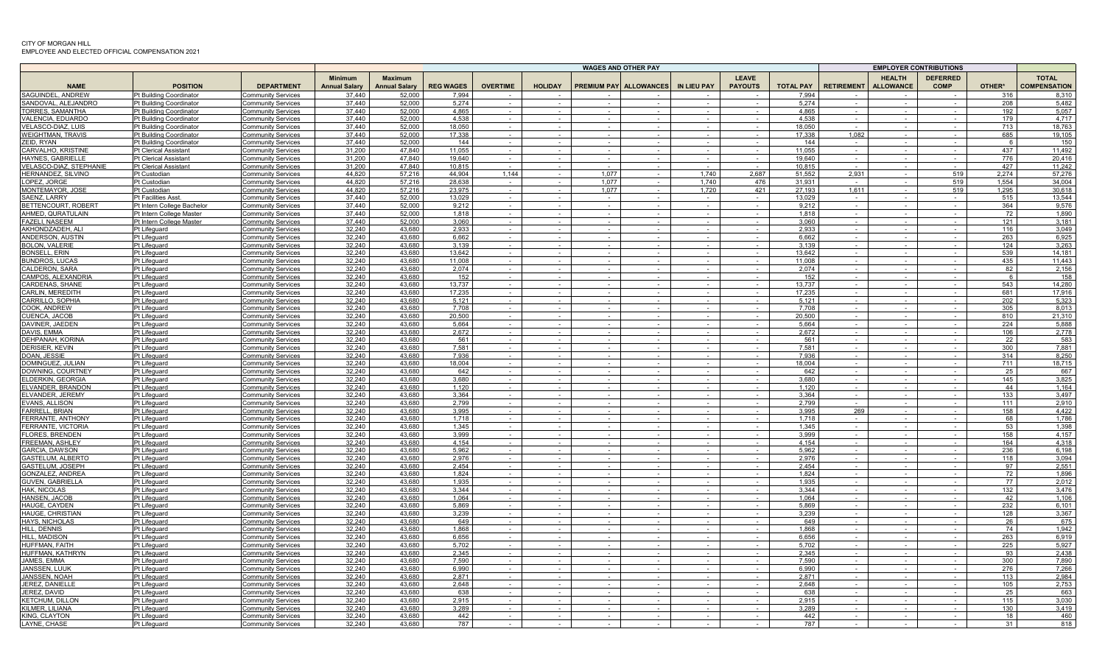|                                               |                                                    |                                                        |                                        |                                        |                  |                 | <b>WAGES AND OTHER PAY</b> |            |                        |                  |                                |                  | <b>EMPLOYER CONTRIBUTIONS</b>                          |                  |                                |              |                                     |
|-----------------------------------------------|----------------------------------------------------|--------------------------------------------------------|----------------------------------------|----------------------------------------|------------------|-----------------|----------------------------|------------|------------------------|------------------|--------------------------------|------------------|--------------------------------------------------------|------------------|--------------------------------|--------------|-------------------------------------|
| <b>NAME</b>                                   | <b>POSITION</b>                                    | <b>DEPARTMENT</b>                                      | <b>Minimum</b><br><b>Annual Salary</b> | <b>Maximum</b><br><b>Annual Salary</b> | <b>REG WAGES</b> | <b>OVERTIME</b> | <b>HOLIDAY</b>             |            | PREMIUM PAY ALLOWANCES | IN LIEU PAY      | <b>LEAVE</b><br><b>PAYOUTS</b> | <b>TOTAL PAY</b> | <b>HEALTH</b><br><b>RETIREMENT</b><br><b>ALLOWANCE</b> |                  | <b>DEFERRED</b><br><b>COMP</b> | OTHER*       | <b>TOTAL</b><br><b>COMPENSATION</b> |
| SAGUINDEL, ANDREW                             | Pt Building Coordinator                            | Community Services                                     | 37.440                                 | 52,000                                 | 7.994            |                 |                            |            |                        |                  |                                | 7 9 9 4          |                                                        |                  |                                | 316          | 8.310                               |
| SANDOVAL, ALEJANDR                            | Pt Building Coordinator                            | <b>Community Services</b>                              | 37.440                                 | 52.000                                 | 5,274            |                 |                            |            |                        |                  |                                | 5.274            |                                                        |                  |                                | 208          | 5,482                               |
| TORRES, SAMANTHA                              | Pt Building Coordinator                            | Community Services                                     | 37,440<br>37.440                       | 52,000                                 | 4,865            |                 |                            |            | $\sim$                 |                  | $\sim$<br>$\sim$               | 4.865<br>4.538   |                                                        | $\sim$           | $\sim$                         | 192<br>179   | 5,057<br>4.717                      |
| VALENCIA, EDUARDC<br>VELASCO-DIAZ, LUIS       | Pt Building Coordinator<br>Pt Building Coordinator | Community Services<br><b>Community Services</b>        | 37,440                                 | 52,000<br>52,000                       | 4,538<br>18,050  | $\sim$          | $\sim$<br>$\sim$           | $\sim$     | $\sim$                 |                  | $\sim$                         | 18,050           |                                                        |                  |                                | 713          | 18,763                              |
| <b>WEIGHTMAN, TRAVIS</b>                      | Pt Building Coordinator                            | <b>Community Services</b>                              | 37.440                                 | 52.000                                 | 17.338           |                 | $\sim$                     |            |                        |                  | $\sim$                         | 17.338           | 1,082                                                  |                  |                                | 685          | 19.105                              |
| ZEID, RYAN                                    | Pt Building Coordinator                            | <b>Community Services</b>                              | 37.440                                 | 52,000                                 | 144              |                 | $\sim$                     |            |                        |                  | $\sim$                         | 144              |                                                        |                  |                                | 6            | 150                                 |
| <b>CARVALHO, KRISTINE</b>                     | Pt Clerical Assistant                              | Community Services                                     | 31,200                                 | 47,840                                 | 11,055           | $\sim$          | $\sim$                     | $\sim$     | $\sim$                 | $\sim$           | $\sim$                         | 11,055           | $\sim$                                                 |                  | $\sim$                         | 437          | 11,492                              |
| <b>HAYNES, GABRIELLE</b>                      | <b>Pt Clerical Assistant</b>                       | Community Services                                     | 31,200                                 | 47,840                                 | 19,640           | $\sim$ $-$      | $\sim$                     | $\sim$ $-$ | $\sim$ $-$             | $\sim$           | $\sim$                         | 19,640           | $\sim$ $-$                                             | $\sim$           | $\sim$                         | 776          | 20,416                              |
| VELASCO-DIAZ, STEPHANIE                       | <b>Pt Clerical Assistant</b>                       | <b>Community Services</b>                              | 31,200                                 | 47.840                                 | 10,815           | $\sim$          | $\sim$ $-$                 | $\sim$     | $\sim$                 | $\sim$ $-$       | $\sim$                         | 10,815           | $\sim$                                                 | $\sim$           | $\sim$                         | 427          | 11,242                              |
| HERNANDEZ, SILVINO                            | Pt Custodian                                       | <b>Community Services</b>                              | 44,820                                 | 57,216                                 | 44,904           | 1,144           | $\sim$                     | 1,077      |                        | 1,740            | 2,687                          | 51,552           | 2,931                                                  |                  | 519                            | 2,274        | 57,276                              |
| LOPEZ, JORGE                                  | Pt Custodian                                       | <b>Community Services</b>                              | 44.820                                 | 57,216                                 | 28.638           |                 |                            | 1.077      |                        | 1.740            | 476                            | 31.931           |                                                        |                  | 519                            | 1.554        | 34,004                              |
| <b>MONTEMAYOR, JOSE</b><br>SAENZ, LARRY       | Pt Custodian<br><b>Pt Facilities Asst</b>          | <b>Community Services</b>                              | 44.820<br>37.440                       | 57,216<br>52,000                       | 23.975<br>13.029 |                 | $\sim$                     | 1.077      |                        | 1,720            | 421<br>$\sim$                  | 27.193<br>13.029 | 1.611                                                  |                  | 519<br>$\sim$                  | 1.295<br>515 | 30.618<br>13,544                    |
| BETTENCOURT, ROBERT                           | Pt Intern College Bachelor                         | <b>Community Services</b><br>Community Services        | 37,440                                 | 52,000                                 | 9.212            |                 | $\sim$                     | $\sim$     | $\sim$                 | in 1999.         | $\sim$                         | 9.212            | $\sim$                                                 | $\sim$ 10 $\pm$  | $\sim$                         | 364          | 9.576                               |
| AHMED, QURATULAIN                             | Pt Intern College Master                           | Community Services                                     | 37,440                                 | 52,000                                 | 1,818            |                 |                            |            |                        |                  |                                | 1,818            |                                                        |                  |                                | 72           | 1,890                               |
| <b>FAZELI, NASEEM</b>                         | Pt Intern College Master                           | <b>Community Services</b>                              | 37.440                                 | 52,000                                 | 3.060            | $\sim$          |                            |            |                        |                  |                                | 3,060            |                                                        |                  |                                | 121          | 3,181                               |
| AKHONDZADEH, ALI                              | Pt Lifeguard                                       | <b>Community Services</b>                              | 32,240                                 | 43,680                                 | 2,933            | $\sim$          | $\sim$                     | $\sim$     |                        |                  |                                | 2,933            |                                                        |                  |                                | 116          | 3,049                               |
| ANDERSON, AUSTIN                              | Pt Lifeguard                                       | <b>Community Services</b>                              | 32,240                                 | 43.680                                 | 6,662            | $\sim$          | $\sim$                     | $\sim$     | $\sim$                 | $\sim$           | $\sim$                         | 6.662            |                                                        | $\sim$           | $\sim$                         | 263          | 6,925                               |
| <b>BOLON, VALERIE</b>                         | Pt Lifeguard                                       | <b>Community Services</b>                              | 32,240                                 | 43.680                                 | 3.139            | $\sim$          | $\sim$                     | $\sim$     | $\sim$                 | $\sim$           | $\sim$                         | 3.139            |                                                        | $\sim$           | $\sim$                         | 124          | 3,263                               |
| <b>BONSELL, ERIN</b>                          | Pt Lifeguard                                       | <b>Community Services</b>                              | 32,240                                 | 43,680                                 | 13,642           | $\sim$          | $\sim$                     | $\sim$     |                        | $\sim$           | $\sim$                         | 13,642           |                                                        | $\sim$           | $\sim$                         | 539          | 14,181                              |
| <b>BUNDROS, LUCAS</b>                         | Pt Lifeguard                                       | <b>Community Services</b>                              | 32.240                                 | 43.680                                 | 11.008           |                 | $\sim$                     | $\sim$     | $\sim$                 | $\sim$           | $\sim$                         | 11.008           |                                                        | $\sim$ 10 $\pm$  | $\sim$                         | 435          | 11.443                              |
| <b>CALDERON, SARA</b><br>CAMPOS, ALEXANDRIA   | Pt Lifeguard<br>Pt Lifeguard                       | <b>Community Services</b>                              | 32.240<br>32.240                       | 43.680<br>43.680                       | 2.074<br>152     |                 |                            |            |                        |                  | $\sim$<br>$\sim$               | 2.074<br>152     |                                                        |                  |                                | 82<br>6      | 2,156<br>158                        |
| <b>CARDENAS, SHANE</b>                        | Pt Lifeguard                                       | <b>Community Services</b><br><b>Community Services</b> | 32,240                                 | 43,680                                 | 13,737           |                 | $\sim$                     |            |                        |                  | $\sim$                         | 13,737           |                                                        | $\sim$           | $\sim$                         | 543          | 14,280                              |
| CARLIN, MEREDITH                              | Pt Lifeguard                                       | <b>Community Services</b>                              | 32,240                                 | 43.680                                 | 17,235           |                 | $\sim$                     |            |                        |                  | $\sim$                         | 17,235           |                                                        |                  |                                | 681          | 17,916                              |
| <b>CARRILLO, SOPHIA</b>                       | Pt Lifeguard                                       | Community Services                                     | 32,240                                 | 43.680                                 | 5.121            |                 | $\sim$                     |            |                        |                  | $\sim$                         | 5.121            |                                                        |                  |                                | 202          | 5,323                               |
| COOK, ANDREW                                  | Pt Lifeguard                                       | <b>Community Services</b>                              | 32,240                                 | 43.680                                 | 7,708            |                 | $\sim$                     |            |                        |                  | $\sim$                         | 7.708            |                                                        |                  |                                | 305          | 8,013                               |
| CUENCA, JACOB                                 | Pt Lifeguard                                       | Community Services                                     | 32,240                                 | 43,680                                 | 20,500           |                 | $\sim$                     |            |                        |                  |                                | 20,500           |                                                        |                  |                                | 810          | 21,310                              |
| DAVINER, JAEDEN                               | Pt Lifeguard                                       | Community Services                                     | 32,240                                 | 43,680                                 | 5,664            | $\sim$          | $\sim$                     | $\sim$     | $\sim$                 | $\sim$           | $\sim$                         | 5,664            | $\sim$                                                 | $\sim$           | $\sim$                         | 224          | 5,888                               |
| DAVIS, EMMA                                   | Pt Lifeguard                                       | <b>Community Services</b>                              | 32,240                                 | 43.680                                 | 2.672            |                 | $\sim$                     |            |                        | $\sim$           | $\sim$                         | 2.672            |                                                        | $\sim$           | $\sim$                         | 106          | 2,778                               |
| DEHPANAH, KORINA                              | Pt Lifeguard                                       | <b>Community Services</b>                              | 32,240                                 | 43,680                                 | 561              |                 |                            |            |                        |                  | $\sim$                         | 561              |                                                        |                  |                                | 22           | 583                                 |
| <b>DERISIER, KEVIN</b><br><b>DOAN, JESSIE</b> | Pt Lifeguard<br>Pt Lifeguard                       | <b>Community Services</b><br><b>Community Services</b> | 32.240<br>32.240                       | 43.680<br>43.680                       | 7.581<br>7.936   |                 |                            |            |                        |                  |                                | 7.581<br>7.936   |                                                        |                  |                                | 300<br>314   | 7.881<br>8,250                      |
| DOMINGUEZ, JULIAN                             | Pt Lifeguard                                       | Community Services                                     | 32,240                                 | 43,680                                 | 18,004           |                 | $\sim$                     |            |                        |                  | $\sim$                         | 18.004           |                                                        |                  | $\sim$                         | 711          | 18,715                              |
| DOWNING, COURTNEY                             | Pt Lifeguard                                       | <b>Community Services</b>                              | 32.240                                 | 43.680                                 | 642              |                 |                            |            |                        |                  |                                | 642              |                                                        |                  |                                | 25           | 667                                 |
| <b>ELDERKIN, GEORGIA</b>                      | Pt Lifeguard                                       | <b>Community Services</b>                              | 32,240                                 | 43,680                                 | 3,680            |                 |                            |            |                        |                  |                                | 3,680            |                                                        |                  |                                | 145          | 3,825                               |
| ELVANDER, BRANDON                             | Pt Lifeguard                                       | Community Services                                     | 32,240                                 | 43.680                                 | 1.120            |                 |                            |            |                        |                  |                                | 1,120            |                                                        |                  |                                | 44           | 1.164                               |
| ELVANDER, JEREMY                              | Pt Lifeguard                                       | <b>Community Services</b>                              | 32,240                                 | 43,680                                 | 3,364            |                 | $\sim$                     |            |                        |                  |                                | 3,364            |                                                        |                  |                                | 133          | 3,497                               |
| EVANS, ALLISON                                | Pt Lifeguard                                       | Community Services                                     | 32,240                                 | 43,680                                 | 2,799            | $\sim$          | $\sim$                     | $\sim$     | $\sim$                 | $\sim$           | $\sim$                         | 2,799            |                                                        | $\sim$           | $\sim$                         | 111          | 2,910                               |
| FARRELL, BRIAN                                | Pt Lifeguard                                       | <b>Community Services</b>                              | 32,240                                 | 43,680                                 | 3,995            |                 | $\sim$                     |            |                        |                  |                                | 3,995            | 269                                                    |                  |                                | 158          | 4,422                               |
| FERRANTE, ANTHONY<br>FERRANTE, VICTORIA       | Pt Lifeguard                                       | <b>Community Services</b>                              | 32,240<br>32.240                       | 43,680<br>43.680                       | 1.718<br>1.345   |                 | $\sim$<br>$\sim$           |            | $\sim$                 | $\sim$           | $\sim$<br>$\sim$               | 1.718<br>1.345   |                                                        | $\sim$           | $\sim$<br>$\sim$               | 68<br>53     | 1,786<br>1.398                      |
| <b>FLORES, BRENDEN</b>                        | Pt Lifeguard<br>Pt Lifeguard                       | <b>Community Services</b><br><b>Community Services</b> | 32,240                                 | 43.680                                 | 3.999            |                 |                            |            |                        |                  | $\sim$                         | 3,999            |                                                        |                  |                                | 158          | 4.157                               |
| FREEMAN, ASHLEY                               | Pt Lifeguard                                       | Community Services                                     | 32.240                                 | 43.680                                 | 4.154            |                 | $\sim$                     |            |                        |                  | $\sim$                         | 4.154            |                                                        |                  | $\sim$                         | 164          | 4,318                               |
| <b>GARCIA, DAWSON</b>                         | Pt Lifeguard                                       | <b>Community Services</b>                              | 32,240                                 | 43,680                                 | 5,962            |                 | $\sim$                     |            |                        |                  | $\sim$                         | 5,962            |                                                        |                  |                                | 236          | 6,198                               |
| <b>GASTELUM, ALBERTO</b>                      | Pt Lifeguard                                       | Community Services                                     | 32,240                                 | 43,680                                 | 2,976            |                 | $\sim$                     |            |                        |                  | $\sim$                         | 2,976            |                                                        |                  |                                | 118          | 3,094                               |
| <b>GASTELUM, JOSEPH</b>                       | Pt Lifeguard                                       | <b>Community Services</b>                              | 32,240                                 | 43.680                                 | 2,454            |                 | $\sim$                     |            |                        |                  | $\sim$                         | 2.454            |                                                        |                  |                                | 97           | 2,551                               |
| <b>GONZALEZ, ANDREA</b>                       | Pt Lifeguard                                       | <b>Community Services</b>                              | 32,240                                 | 43,680                                 | 1,824            |                 | $\sim$                     |            |                        |                  | $\sim$                         | 1,824            |                                                        |                  |                                | 72           | 1,896                               |
| <b>GUVEN, GABRIELLA</b>                       | Pt Lifeguard                                       | Community Services                                     | 32,240                                 | 43.680                                 | 1,935            | $\sim$          | $\sim$                     | $\sim$     |                        | $\sim$           | $\sim$                         | 1.935            |                                                        |                  |                                | 77           | 2,012                               |
| <b>HAK, NICOLAS</b>                           | Pt Lifeguard                                       | <b>Community Services</b>                              | 32,240                                 | 43,680                                 | 3,344            |                 | $\sim$                     |            |                        |                  | $\sim$                         | 3,344            |                                                        | $\sim$           | $\sim$                         | 132          | 3,476                               |
| HANSEN, JACOE<br>HAUGE, CAYDEN                | Pt Lifeguard<br>Pt Lifeguard                       | <b>Community Services</b><br><b>Community Services</b> | 32,240<br>32,240                       | 43,680<br>43,680                       | 1,064<br>5,869   |                 | $\sim$<br>$\sim$           |            |                        | $\sim$<br>$\sim$ | $\sim$<br>$\sim$               | 1,064<br>5,869   |                                                        | $\sim$<br>$\sim$ | $\sim$<br>$\sim$               | 42<br>232    | 1,106<br>6,101                      |
| <b>HAUGE, CHRISTIAN</b>                       | Pt Lifeguard                                       | <b>Community Services</b>                              | 32.240                                 | 43.680                                 | 3.239            |                 | $\sim$                     |            |                        |                  | $\sim$                         | 3.239            |                                                        |                  |                                | 128          | 3.367                               |
| <b>HAYS. NICHOLAS</b>                         | Pt Lifeguard                                       | <b>Community Services</b>                              | 32.240                                 | 43.680                                 | 649              |                 |                            |            |                        |                  |                                | 649              |                                                        |                  |                                | 26           | 675                                 |
| HILL, DENNIS                                  | Pt Lifeguard                                       | <b>Community Services</b>                              | 32,240                                 | 43.680                                 | 1,868            |                 | $\sim$                     |            |                        |                  | $\sim$                         | 1.868            |                                                        |                  |                                | 74           | 1,942                               |
| <b>HILL, MADISON</b>                          | Pt Lifeguard                                       | <b>Community Services</b>                              | 32,240                                 | 43.680                                 | 6,656            |                 |                            |            |                        |                  |                                | 6.656            |                                                        |                  |                                | 263          | 6,919                               |
| HUFFMAN, FAITH                                | Pt Lifeguard                                       | Community Services                                     | 32,240                                 | 43,680                                 | 5,702            |                 |                            |            |                        |                  |                                | 5,702            |                                                        |                  |                                | 225          | 5,927                               |
| HUFFMAN, KATHRYN                              | Pt Lifeguard                                       | Community Services                                     | 32,240                                 | 43.680                                 | 2.345            |                 |                            |            |                        |                  |                                | 2.345            |                                                        |                  |                                | 93           | 2.438                               |
| <b>JAMES, EMMA</b>                            | Pt Lifeguard                                       | <b>Community Services</b>                              | 32,240                                 | 43,680                                 | 7,590            |                 |                            |            |                        |                  |                                | 7.590            |                                                        |                  |                                | 300          | 7,890                               |
| JANSSEN, LUUP                                 | Pt Lifeguard                                       | Community Services                                     | 32,240                                 | 43.680                                 | 6.990            | $\sim$          | $\sim$                     | $\sim$     | $\sim$                 | $\sim$           | $\sim$                         | 6,990            | $\sim$                                                 | $\sim$           | $\sim$                         | 276          | 7,266                               |
| JANSSEN, NOAH<br>JEREZ, DANIELLE              | Pt Lifeguard<br>Pt Lifeguard                       | <b>Community Services</b><br><b>Community Services</b> | 32,240<br>32,240                       | 43,680<br>43,680                       | 2,871<br>2,648   |                 | $\sim$<br>$\sim$           | $\sim$     |                        |                  | $\sim$<br>$\sim$               | 2,871<br>2.648   |                                                        |                  | $\sim$                         | 113<br>105   | 2,984<br>2,753                      |
| JEREZ, DAVID                                  | Pt Lifeguard                                       | <b>Community Services</b>                              | 32.240                                 | 43.680                                 | 638              |                 |                            |            |                        |                  |                                | 638              |                                                        |                  |                                | 25           | 663                                 |
| <b>KETCHUM, DILLOI</b>                        | Pt Lifeguard                                       | <b>Community Services</b>                              | 32.240                                 | 43.680                                 | 2.915            |                 |                            |            |                        |                  |                                | 2.915            |                                                        |                  |                                | 115          | 3,030                               |
| <b>KILMER, LILIANA</b>                        | Pt Lifeguard                                       | Community Services                                     | 32.240                                 | 43.680                                 | 3.289            |                 |                            |            |                        |                  |                                | 3.289            |                                                        |                  |                                | 130          | 3.419                               |
| KING, CLAYTON                                 | Pt Lifeguard                                       | <b>Community Services</b>                              | 32,240                                 | 43,680                                 | 442              |                 |                            |            |                        |                  |                                | 442              |                                                        |                  |                                | 18           | 460                                 |
| LAYNE, CHASE                                  | Pt Lifeguard                                       | <b>Community Services</b>                              | 32.240                                 | 43.680                                 | 787              |                 |                            |            |                        |                  |                                | 787              |                                                        |                  |                                | 31           | 818                                 |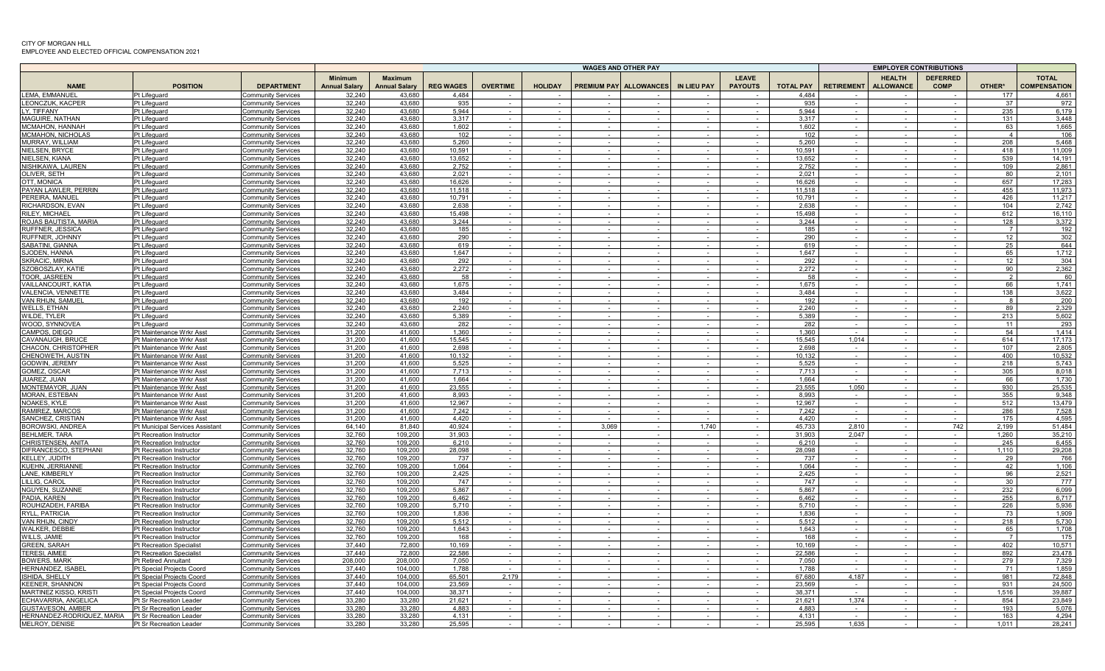|                                                    |                                                      |                                                        |                                 |                                        |                  |                 |                |                    | <b>WAGES AND OTHER PAY</b> |                    |                                |                  |                   |                                   | <b>EMPLOYER CONTRIBUTIONS</b>  |                       |                                     |
|----------------------------------------------------|------------------------------------------------------|--------------------------------------------------------|---------------------------------|----------------------------------------|------------------|-----------------|----------------|--------------------|----------------------------|--------------------|--------------------------------|------------------|-------------------|-----------------------------------|--------------------------------|-----------------------|-------------------------------------|
| <b>NAME</b>                                        | <b>POSITION</b>                                      | <b>DEPARTMENT</b>                                      | Minimum<br><b>Annual Salary</b> | <b>Maximum</b><br><b>Annual Salary</b> | <b>REG WAGES</b> | <b>OVERTIME</b> | <b>HOLIDAY</b> | <b>PREMIUM PAY</b> | <b>ALLOWANCES</b>          | <b>IN LIEU PAY</b> | <b>LEAVE</b><br><b>PAYOUTS</b> | <b>TOTAL PAY</b> | <b>RETIREMENT</b> | <b>HEALTH</b><br><b>ALLOWANCE</b> | <b>DEFERRED</b><br><b>COMP</b> | OTHER*                | <b>TOTAL</b><br><b>COMPENSATION</b> |
| <b>EMA, EMMANUEL</b>                               | Pt Lifeguard                                         | Community Services                                     | 32,240                          | 43,680                                 | 4,484            |                 |                |                    |                            |                    |                                | 4.484            |                   |                                   |                                | 177                   | 4,661                               |
| LEONCZUK. KACPER                                   | Pt Lifeguard                                         | <b>Community Services</b>                              | 32,240                          | 43.680                                 | 935              | $\sim$          |                | $\sim$             |                            | $\sim$             | $\sim$                         | 935              | $\sim$            | $\sim$                            | $\sim$                         | 37                    | 972                                 |
| LY. TIFFANY                                        | Pt Lifeguard                                         | Community Services                                     | 32,240                          | 43,680                                 | 5,944            | $\sim$          | $\sim$         | $\sim$             | $\sim$                     | $\sim$             | $\sim$                         | 5.944            | $\sim$            | $\sim$                            | $\sim$                         | 235                   | 6,179                               |
| <b>MAGUIRE, NATHAN</b>                             | Pt Lifeguard                                         | <b>Community Services</b>                              | 32.240                          | 43.680                                 | 3.317            | $\sim$          | $\sim$         | $\sim$             | $\sim$                     | $\sim$             | $\sim$                         | 3.317            | $\sim$            | $\sim$                            | $\sim$                         | 131                   | 3.448                               |
| <b>MCMAHON, HANNAH</b>                             | Pt Lifeguard                                         | <b>Community Services</b>                              | 32.240                          | 43.680                                 | 1.602            |                 |                |                    |                            |                    |                                | 1.602            |                   |                                   |                                | 63                    | 1,665                               |
| <b>MCMAHON, NICHOLAS</b>                           | Pt Lifeguard                                         | Community Services                                     | 32,240                          | 43.680                                 | 102<br>5.260     |                 | $\sim$         | $\sim$             | $\sim$                     |                    |                                | 102              |                   | $\sim$                            | $\sim$                         | $\mathbf{A}$          | 106                                 |
| MURRAY, WILLIAM<br>NIELSEN, BRYCE                  | Pt Lifeguard<br>Pt Lifeguard                         | Community Services<br><b>Community Services</b>        | 32.240<br>32,240                | 43.680<br>43,680                       | 10,591           |                 |                |                    |                            |                    |                                | 5,260<br>10,591  |                   | $\sim$                            |                                | 208<br>418            | 5.468<br>11,009                     |
| NIELSEN. KIANA                                     | Pt Lifeguard                                         | <b>Community Services</b>                              | 32,240                          | 43.680                                 | 13.652           |                 |                |                    |                            | $\sim$             |                                | 13.652           |                   |                                   |                                | 539                   | 14.191                              |
| NISHIKAWA, LAUREN                                  | Pt Lifeguard                                         | <b>Community Services</b>                              | 32,240                          | 43,680                                 | 2,752            |                 |                | $\sim$             |                            | $\sim$             | $\sim$                         | 2,752            |                   | $\sim$                            | $\sim$                         | 109                   | 2,861                               |
| OLIVER, SETH                                       | Pt Lifeguard                                         | Community Services                                     | 32,240                          | 43,680                                 | 2,021            | $\sim$          | $\sim$         | $\sim$             | $\sim$                     | $\sim$             | $\sim$                         | 2,021            | $\sim$            | $\sim$                            | $\sim$                         | 80                    | 2,101                               |
| OTT. MONICA                                        | Pt Lifeguard                                         | <b>Community Services</b>                              | 32,240                          | 43.680                                 | 16,626           | $\sim$          | $\sim$         | $\sim$             | $\sim$                     | $\sim$             | $\sim$                         | 16.626           | $\sim$            | $\sim$                            | $\sim$                         | 657                   | 17,283                              |
| PAYAN LAWLER, PERRIN                               | Pt Lifeguard                                         | Community Services                                     | 32,240                          | 43,680                                 | 11.518           |                 |                | $\sim$             |                            | $\sim$             | $\sim$                         | 11.518           |                   | $\sim$                            |                                | 455                   | 11.973                              |
| PEREIRA, MANUEL                                    | Pt Lifeguard                                         | <b>Community Services</b>                              | 32.240                          | 43.680                                 | 10.791           |                 |                |                    |                            |                    |                                | 10.791           |                   |                                   |                                | 426                   | 11.217                              |
| RICHARDSON, EVAN                                   | Pt Lifeguard                                         | <b>Community Services</b>                              | 32,240                          | 43.680                                 | 2.638            |                 |                |                    |                            |                    |                                | 2,638            |                   |                                   |                                | 104                   | 2,742                               |
| RILEY, MICHAEL                                     | Pt Lifeguard                                         | Community Services                                     | 32,240                          | 43.680                                 | 15,498           |                 |                |                    |                            |                    |                                | 15,498           |                   |                                   |                                | 612                   | 16,110                              |
| ROJAS BAUTISTA, MARIA<br>RUFFNER, JESSICA          | Pt Lifeguard<br>Pt Lifeguard                         | <b>Community Services</b><br>Community Services        | 32,240<br>32,240                | 43.680<br>43,680                       | 3,244<br>185     |                 |                |                    |                            |                    |                                | 3.244<br>185     |                   |                                   |                                | 128<br>$\overline{7}$ | 3,372<br>192                        |
| RUFFNER. JOHNNY                                    | Pt Lifeguard                                         | Community Services                                     | 32,240                          | 43.680                                 | 290              |                 |                |                    |                            |                    | $\sim$                         | 290              |                   | $\sim$                            |                                | 12 <sup>1</sup>       | 302                                 |
| SABATINI, GIANNA                                   | Pt Lifeguard                                         | Community Services                                     | 32.240                          | 43.680                                 | 619              |                 |                |                    |                            |                    |                                | 619              |                   |                                   |                                | 25                    | 644                                 |
| SJODEN, HANNA                                      | Pt Lifeguard                                         | Community Services                                     | 32,240                          | 43,680                                 | 1.647            | $\sim$          | $\sim$         | $\sim$             | $\sim$                     | $\sim$             | $\sim$                         | 1,647            | $\sim$            | $\sim$                            | $\sim$                         | 65                    | 1.712                               |
| SKRACIC. MIRNA                                     | Pt Lifeguard                                         | <b>Community Services</b>                              | 32,240                          | 43.680                                 | 292              | $\sim$          | $\sim$         | $\sim$             | $\overline{\phantom{a}}$   | $\sim$             | $\sim$                         | 292              |                   | $\sim$                            | $\sim$                         | 12 <sup>1</sup>       | 304                                 |
| SZOBOSZLAY, KATIE                                  | Pt Lifeguard                                         | <b>Community Services</b>                              | 32,240                          | 43,680                                 | 2,272            | $\sim$          | $\sim$         | $\sim$             | $\sim$                     | $\sim$             | $\sim$                         | 2,272            | $\sim$            | $\sim$                            | $\sim$                         | 90                    | 2,362                               |
| TOOR, JASREEN                                      | Pt Lifeguard                                         | <b>Community Services</b>                              | 32,240                          | 43.680                                 | 58               |                 |                |                    |                            |                    |                                | 58               |                   |                                   |                                | $\overline{2}$        | 60                                  |
| VAILLANCOURT, KATIA                                | Pt Lifeguard                                         | <b>Community Services</b>                              | 32.240                          | 43.680                                 | 1.675            |                 |                |                    |                            |                    |                                | 1.675            |                   |                                   |                                | 66                    | 1.741                               |
| VALENCIA, VENNETTE                                 | Pt Lifeguard                                         | <b>Community Services</b>                              | 32,240                          | 43,680<br>43.680                       | 3,484<br>192     |                 | $\sim$         | $\sim$             | $\sim$                     | $\sim$             |                                | 3,484<br>192     |                   | $\sim$                            |                                | 138<br>8 <sup>1</sup> | 3,622                               |
| VAN RHIJN, SAMUEL<br><b>WELLS, ETHAN</b>           | Pt Lifeguard<br>Pt Lifeguard                         | Community Services<br><b>Community Services</b>        | 32,240<br>32,240                | 43,680                                 | 2,240            |                 |                | $\sim$             | $\sim$                     |                    |                                | 2,240            |                   | $\sim$                            |                                | 89                    | 200<br>2,329                        |
| WILDE, TYLER                                       | Pt Lifeguard                                         | <b>Community Services</b>                              | 32,240                          | 43.680                                 | 5,389            |                 |                | $\sim$             |                            |                    |                                | 5.389            |                   | $\sim$                            |                                | 213                   | 5,602                               |
| WOOD, SYNNOVEA                                     | Pt Lifeguard                                         | <b>Community Services</b>                              | 32,240                          | 43.680                                 | 282              |                 |                |                    |                            |                    |                                | 282              |                   | $\sim$                            |                                | 11                    | 293                                 |
| CAMPOS, DIEGO                                      | Pt Maintenance Wrkr Asst                             | <b>Community Services</b>                              | 31,200                          | 41,600                                 | 1,360            |                 | $\sim$         | $\sim$             |                            | $\sim$             |                                | 1,360            |                   | $\sim$                            | $\sim$                         | 54                    | 1,414                               |
| CAVANAUGH. BRUCE                                   | Pt Maintenance Wrkr Asst                             | <b>Community Services</b>                              | 31,200                          | 41,600                                 | 15,545           |                 |                | $\sim$             |                            | $\sim$             | $\sim$                         | 15.545           | 1,014             | $\sim$                            |                                | 614                   | 17,173                              |
| CHACON, CHRISTOPHER                                | Pt Maintenance Wrkr Asst                             | <b>Community Services</b>                              | 31,200                          | 41,600                                 | 2,698            | $\sim$          | $\sim$         | $\sim$             | $\sim$                     | $\sim$             | $\sim$                         | 2,698            |                   | $\sim$                            |                                | 107                   | 2,805                               |
| CHENOWETH, AUSTIN                                  | Pt Maintenance Wrkr Asst                             | <b>Community Services</b>                              | 31.200                          | 41,600                                 | 10.132           |                 |                |                    |                            |                    |                                | 10.132           |                   | $\sim$                            |                                | 400                   | 10.532                              |
| <b>GODWIN, JEREMY</b>                              | Pt Maintenance Wrkr Asst                             | Community Services                                     | 31.200                          | 41.600                                 | 5.525            |                 |                | $\sim$             |                            |                    |                                | 5.525            |                   |                                   |                                | 218                   | 5.743                               |
| GOMEZ, OSCAR<br>JUAREZ, JUAN                       | Pt Maintenance Wrkr Asst<br>Pt Maintenance Wrkr Asst | <b>Community Services</b><br><b>Community Services</b> | 31,200<br>31,200                | 41,600<br>41.600                       | 7.713<br>1.664   |                 |                |                    |                            |                    |                                | 7.713<br>1.664   |                   |                                   |                                | 305<br>66             | 8,018<br>1.730                      |
| <b>MONTEMAYOR, JUAN</b>                            | Pt Maintenance Wrkr Asst                             | <b>Community Services</b>                              | 31,200                          | 41,600                                 | 23,555           |                 |                |                    |                            |                    |                                | 23,555           | 1,050             |                                   |                                | 930                   | 25,535                              |
| <b>MORAN, ESTEBAN</b>                              | Pt Maintenance Wrkr Asst                             | <b>Community Services</b>                              | 31,200                          | 41,600                                 | 8.993            |                 |                |                    |                            |                    |                                | 8,993            |                   |                                   |                                | 355                   | 9.348                               |
| <b>VOAKES, KYLE</b>                                | t Maintenance Wrkr Asst                              | <b>Community Services</b>                              | 31.200                          | 41.600                                 | 12.967           |                 |                | $\sim$             | $\sim$                     | $\sim$             | $\sim$                         | 12.967           |                   | $\sim$                            | $\sim$                         | 512                   | 13.479                              |
| RAMIREZ, MARCOS                                    | Pt Maintenance Wrkr Asst                             | <b>Community Services</b>                              | 31,200                          | 41,600                                 | 7,242            | $\sim$          | $\sim$         | $\sim$             | $\sim$                     | $\sim$             | $\sim$                         | 7,242            | $\sim$            | $\sim$                            | $\sim$                         | 286                   | 7,528                               |
| SANCHEZ, CRISTIAN                                  | Pt Maintenance Wrkr Asst                             | <b>Community Services</b>                              | 31,200                          | 41,600                                 | 4,420            | $\sim$          | $\sim$         | $\sim$             | $\sim$                     | $\sim$             | $\sim$                         | 4.420            |                   | $\sim$                            |                                | 175                   | 4.595                               |
| BOROWSKI, ANDREA                                   | Pt Municipal Services Assistant                      | Community Services                                     | 64,140                          | 81,840                                 | 40,924           | $\sim$          | $\sim$         | 3,069              | $\sim$                     | 1.740              | $\sim$                         | 45,733           | 2,810             | $\sim$                            | 742                            | 2.199                 | 51.484                              |
| <b>BEHLMER, TARA</b>                               | Pt Recreation Instructor                             | <b>Community Services</b>                              | 32.760                          | 109.200                                | 31.903           |                 |                | $\sim$             |                            |                    |                                | 31.903           | 2.047             |                                   |                                | 1.260                 | 35.210                              |
| CHRISTENSEN, ANITA                                 | Pt Recreation Instructor                             | <b>Community Services</b>                              | 32,760<br>32,760                | 109,200<br>109,200                     | 6.210<br>28,098  |                 |                |                    |                            |                    |                                | 6,210<br>28,098  |                   |                                   |                                | 245<br>1,110          | 6,455                               |
| DIFRANCESCO, STEPHANI<br><b>KELLEY, JUDITH</b>     | Pt Recreation Instructor<br>Pt Recreation Instructor | <b>Community Services</b><br><b>Community Services</b> | 32,760                          | 109,200                                | 737              |                 |                | $\sim$             |                            |                    |                                | 737              |                   |                                   |                                | 29                    | 29,208<br>766                       |
| KUEHN, JERRIANNE                                   | Pt Recreation Instructor                             | <b>Community Services</b>                              | 32,760                          | 109,200                                | 1,064            |                 |                |                    |                            |                    |                                | 1,064            |                   | $\sim$                            |                                | 42                    | 1,106                               |
| LANE, KIMBERLY                                     | Pt Recreation Instructor                             | <b>Community Services</b>                              | 32.760                          | 109.200                                | 2,425            |                 |                | $\sim$             | $\overline{\phantom{a}}$   | $\sim$             | $\sim$                         | 2,425            |                   | $\sim$                            |                                | 96                    | 2,521                               |
| <b>ILLIG, CAROL</b>                                | Pt Recreation Instructor                             | Community Services                                     | 32,760                          | 109.200                                | 747              |                 |                |                    |                            |                    |                                | 747              |                   |                                   |                                | 30                    | 777                                 |
| NGUYEN, SUZANNE                                    | Pt Recreation Instructor                             | <b>Community Services</b>                              | 32,760                          | 109,200                                | 5,867            | $\sim$          | $\sim$         | $\sim$             | $\sim$                     | $\sim$             | $\sim$                         | 5,867            | $\sim$            | $\sim$                            | $\sim$                         | 232                   | 6,099                               |
| PADIA, KAREN                                       | Pt Recreation Instructor                             | <b>Community Services</b>                              | 32,760                          | 109,200                                | 6,462            |                 |                | $\sim$             |                            |                    |                                | 6.462            |                   |                                   |                                | 255                   | 6.717                               |
| ROUHIZADEH, FARIBA                                 | Pt Recreation Instructor                             | <b>Community Services</b>                              | 32,760                          | 109,200                                | 5,710            |                 |                | $\sim$             |                            |                    |                                | 5,710            |                   |                                   |                                | 226                   | 5,936                               |
| RYLL, PATRICIA                                     | Pt Recreation Instructor                             | <b>Community Services</b>                              | 32,760                          | 109.200                                | 1.836            |                 |                |                    |                            |                    |                                | 1.836            |                   |                                   |                                | 73                    | 1,909                               |
| VAN RHIJN, CINDY                                   | Pt Recreation Instructor                             | <b>Community Services</b>                              | 32.760                          | 109.200                                | 5.512            |                 |                | $\sim$             |                            |                    |                                | 5.512            |                   | $\sim$<br>$\sim$                  |                                | 218<br>65             | 5,730                               |
| <b>WALKER, DEBBIE</b><br><b>WILLS, JAMIE</b>       | Pt Recreation Instructor<br>Pt Recreation Instructor | <b>Community Services</b><br><b>Community Services</b> | 32,760<br>32,760                | 109,200<br>109.200                     | 1,643<br>168     |                 |                |                    |                            |                    |                                | 1,643<br>168     |                   |                                   |                                | $\overline{7}$        | 1,708<br>175                        |
| <b>GREEN, SARAH</b>                                | Pt Recreation Specialist                             | <b>Community Services</b>                              | 37,440                          | 72,800                                 | 10,169           |                 |                |                    |                            |                    |                                | 10,169           |                   |                                   |                                | 402                   | 10,571                              |
| <b>TERESI, AIMEE</b>                               | Pt Recreation Specialist                             | <b>Community Services</b>                              | 37.440                          | 72.800                                 | 22.586           |                 |                |                    |                            |                    |                                | 22.586           |                   |                                   |                                | 892                   | 23.478                              |
| BOWERS, MARK                                       | Pt Retired Annuitant                                 | Community Services                                     | 208,000                         | 208,000                                | 7,050            |                 |                | $\sim$             | $\sim$                     | $\sim$             | $\sim$                         | 7,050            |                   | $\sim$                            | $\sim$                         | 279                   | 7,329                               |
| HERNANDEZ, ISABEI                                  | Pt Special Projects Coord                            | <b>Community Services</b>                              | 37,440                          | 104,000                                | 1,788            |                 | $\sim$         | $\sim$             |                            | $\sim$             | $\sim$                         | 1,788            |                   | $\sim$                            | $\sim$                         | 71                    | 1,859                               |
| ISHIDA. SHELLY                                     | Pt Special Projects Coord                            | Community Services                                     | 37.440                          | 104,000                                | 65,501           | 2.179           | $\sim$         | $\sim$             | $\sim$                     | $\sim$             | $\sim$                         | 67,680           | 4.187             | $\sim$                            | $\sim$                         | 981                   | 72,848                              |
| <b>KEENER, SHANNON</b>                             | Pt Special Projects Coord                            | Community Services                                     | 37,440                          | 104,000                                | 23,569           | $\sim$          | $\sim$         | $\sim$             | $\sim$                     | $\sim$             | $\sim$                         | 23,569           |                   | $\sim$                            | $\sim$                         | 931                   | 24,500                              |
| <b>MARTINEZ KISSO, KRIST</b>                       | Pt Special Projects Coord                            | <b>Community Services</b>                              | 37.440                          | 104.000                                | 38.371           |                 |                |                    |                            |                    | $\sim$                         | 38.371           |                   |                                   |                                | 1.516                 | 39.887                              |
| ECHAVARRIA, ANGELICA                               | Pt Sr Recreation Leader                              | <b>Community Services</b>                              | 33,280                          | 33,280                                 | 21.621           |                 |                |                    |                            |                    |                                | 21.621           | 1.374             |                                   |                                | 854                   | 23,849                              |
| <b>GUSTAVESON, AMBER</b>                           | Pt Sr Recreation Leader                              | <b>Community Services</b>                              | 33.280                          | 33,280                                 | 4.883            |                 |                |                    |                            |                    |                                | 4.883            |                   |                                   |                                | 193                   | 5,076                               |
| HERNANDEZ-RODRIQUEZ, MARIA Pt Sr Recreation Leader |                                                      | <b>Community Services</b>                              | 33.280                          | 33.280                                 | 4.131            |                 |                |                    |                            |                    |                                | 4.131            |                   |                                   |                                | 163                   | 4.294                               |

MELROY, DENISE Pt Sr Recreation Leader Community Services 33,280 33,280 25,595 - - - - - - 25,595 1,635 - - 1,011 28,241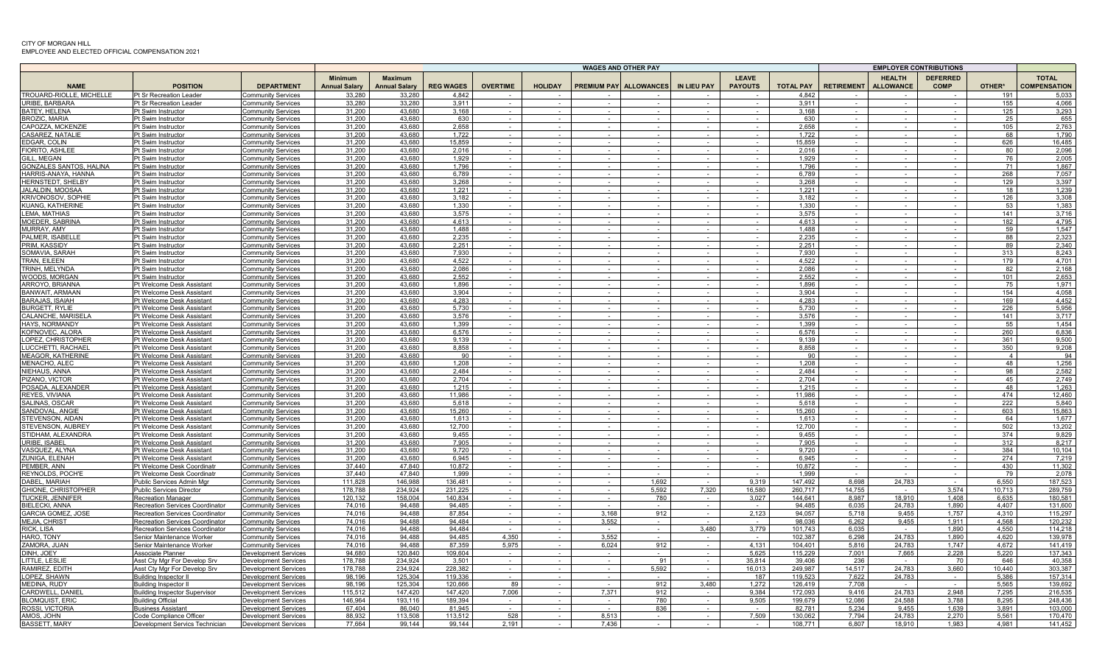|                                                    |                                                                           |                                                        |                                        |                                        |                   |                 |                  |                  | WAGES AND OTHER PAY           |                  |                                    |                   |                   |                                   | <b>EMPLOYER CONTRIBUTIONS</b>  |                |                                     |
|----------------------------------------------------|---------------------------------------------------------------------------|--------------------------------------------------------|----------------------------------------|----------------------------------------|-------------------|-----------------|------------------|------------------|-------------------------------|------------------|------------------------------------|-------------------|-------------------|-----------------------------------|--------------------------------|----------------|-------------------------------------|
| <b>NAME</b>                                        | <b>POSITION</b>                                                           | <b>DEPARTMENT</b>                                      | <b>Minimum</b><br><b>Annual Salary</b> | <b>Maximum</b><br><b>Annual Salary</b> | <b>REG WAGES</b>  | <b>OVERTIME</b> | <b>HOLIDAY</b>   |                  | <b>PREMIUM PAY ALLOWANCES</b> | IN LIEU PAY      | <b>LEAVE</b><br><b>PAYOUTS</b>     | <b>TOTAL PAY</b>  | <b>RETIREMENT</b> | <b>HEALTH</b><br><b>ALLOWANCE</b> | <b>DEFERRED</b><br><b>COMP</b> | OTHER*         | <b>TOTAL</b><br><b>COMPENSATION</b> |
| TROUARD-RIOLLE, MICHELLE                           | Pt Sr Recreation Leader                                                   | community Services                                     | 33,280                                 | 33,280                                 | 4,842             |                 |                  |                  |                               |                  |                                    | 4.842             |                   |                                   |                                | 191            | 5,033                               |
| URIBE, BARBARA                                     | Pt Sr Recreation Leader                                                   | <b>Community Services</b>                              | 33.280                                 | 33.280                                 | 3.911             |                 | $\sim$           |                  |                               |                  | $\sim$                             | 3.911             |                   |                                   | $\sim$                         | 155            | 4.066                               |
| <b>BATEY, HELENA</b>                               | Pt Swim Instructor                                                        | <b>Community Services</b>                              | 31.200                                 | 43.680                                 | 3.168             |                 | $\sim$           |                  |                               |                  | $\sim$                             | 3.168             |                   |                                   |                                | 125            | 3,293                               |
| <b>BROZIC, MARIA</b>                               | Pt Swim Instructor                                                        | Community Services                                     | 31.200                                 | 43.680                                 | 630               |                 | $\sim$           |                  |                               |                  | $\sim$                             | 630               |                   |                                   |                                | 25             | 655                                 |
| CAPOZZA, MCKENZIE                                  | Pt Swim Instructor                                                        | Community Services                                     | 31,200                                 | 43.680                                 | 2,658             |                 | $\sim$           |                  | $\sim$                        | $\sim$           | $\sim$                             | 2,658             |                   | $\sim$                            | $\sim$                         | 105            | 2,763                               |
| CASAREZ, NATALIE                                   | Pt Swim Instructor                                                        | Community Services                                     | 31,200                                 | 43,680                                 | 1,722             |                 |                  |                  |                               |                  | $\sim$                             | 1,722             |                   |                                   |                                | 68             | 1,790                               |
| EDGAR, COLIN<br>FIORITO, ASHLEE                    | Pt Swim Instructor<br>Pt Swim Instructor                                  | <b>Community Services</b><br><b>Community Services</b> | 31,200<br>31,200                       | 43,680<br>43,680                       | 15,859<br>2,016   |                 | $\sim$           |                  |                               | $\sim$           |                                    | 15,859<br>2.016   |                   |                                   |                                | 626<br>80      | 16,485<br>2,096                     |
| GILL, MEGAN                                        | Pt Swim Instructor                                                        | Community Services                                     | 31,200                                 | 43.680                                 | 1,929             |                 | $\sim$<br>$\sim$ |                  |                               | $\sim$<br>$\sim$ | $\sim$<br>$\sim$                   | 1.929             |                   |                                   |                                | 76             | 2,005                               |
| <b>GONZALES SANTOS, HALINA</b>                     | Pt Swim Instructor                                                        | <b>Community Services</b>                              | 31,200                                 | 43,680                                 | 1,796             |                 | $\sim$           | $\sim$           | $\sim$                        | $\sim$           | $\sim$                             | 1,796             |                   | $\sim$                            | $\sim$                         | 71             | 1,867                               |
| HARRIS-ANAYA, HANNA                                | Pt Swim Instructor                                                        | Community Services                                     | 31,200                                 | 43.680                                 | 6.789             |                 |                  |                  |                               | $\sim$           | $\sim$                             | 6.789             |                   |                                   |                                | 268            | 7,057                               |
| HERNSTEDT, SHELBY                                  | Pt Swim Instructor                                                        | <b>Community Services</b>                              | 31,200                                 | 43,680                                 | 3,268             |                 | $\sim$           |                  |                               |                  | $\sim$                             | 3,268             |                   |                                   | $\sim$                         | 129            | 3,397                               |
| <b>JALALDIN, MOOSAA</b>                            | Pt Swim Instructor                                                        | Community Services                                     | 31.200                                 | 43.680                                 | 1.221             |                 |                  |                  |                               |                  | $\sim$ 10 $\pm$                    | 1.221             |                   |                                   |                                | 18             | 1.239                               |
| <b>KRIVONOSOV, SOPHII</b>                          | Pt Swim Instructor                                                        | Community Services                                     | 31.200                                 | 43.680                                 | 3.182             |                 |                  |                  |                               |                  |                                    | 3.182             |                   |                                   |                                | 126            | 3.308                               |
| <b>KUANG, KATHERINE</b>                            | Pt Swim Instructor                                                        | Community Services                                     | 31,200                                 | 43,680                                 | 1,330             |                 | $\sim$           |                  |                               |                  | $\sim$                             | 1,330             |                   |                                   | $\sim$                         | 53             | 1,383                               |
| <b>LEMA, MATHIAS</b>                               | Pt Swim Instructor                                                        | Community Services                                     | 31,200                                 | 43.680                                 | 3.575             |                 |                  |                  |                               |                  |                                    | 3.575             |                   |                                   |                                | 141            | 3.716                               |
| MOEDER, SABRINA                                    | Pt Swim Instructor                                                        | <b>Community Services</b>                              | 31,200                                 | 43,680                                 | 4,613             |                 |                  |                  |                               |                  |                                    | 4,613             |                   |                                   |                                | 182            | 4,795                               |
| MURRAY, AMY<br>PALMER. ISABELL                     | Pt Swim Instructor<br>Pt Swim Instructor                                  | Community Services                                     | 31,200                                 | 43.680                                 | 1.488             |                 |                  |                  |                               |                  |                                    | 1.488             |                   |                                   |                                | 59<br>88       | 1.547                               |
| PRIM, KASSIDY                                      | Pt Swim Instructor                                                        | <b>Community Services</b>                              | 31,200<br>31,200                       | 43,680<br>43,680                       | 2,235<br>2,251    | $\sim$          |                  |                  |                               |                  | $\sim$                             | 2,235<br>2,251    |                   |                                   |                                | 89             | 2,323<br>2,340                      |
| SOMAVIA, SARAH                                     | Pt Swim Instructor                                                        | Community Services<br><b>Community Services</b>        | 31.200                                 | 43.680                                 | 7.930             |                 | $\sim$<br>$\sim$ | $\sim$           | $\sim$                        | $\sim$<br>$\sim$ | $\sim$                             | 7.930             |                   | $\sim$<br>$\sim$                  | $\sim$<br>$\sim$               | 313            | 8.243                               |
| TRAN, EILEEN                                       | Pt Swim Instructor                                                        | <b>Community Services</b>                              | 31,200                                 | 43,680                                 | 4,522             |                 | $\sim$           |                  |                               | $\sim$           | $\sim$                             | 4,522             |                   |                                   | $\sim$                         | 179            | 4,701                               |
| TRINH, MELYNDA                                     | Pt Swim Instructor                                                        | <b>Community Services</b>                              | 31.200                                 | 43.680                                 | 2.086             |                 | $\sim$           |                  |                               |                  | $\sim$                             | 2.086             |                   |                                   |                                | 82             | 2.168                               |
| WOODS, MORGAN                                      | Pt Swim Instructor                                                        | Community Services                                     | 31,200                                 | 43.680                                 | 2,552             |                 |                  |                  |                               |                  |                                    | 2,552             |                   |                                   |                                | 101            | 2,653                               |
| ARROYO, BRIANNA                                    | Pt Welcome Desk Assistant                                                 | Communitv Services                                     | 31,200                                 | 43.680                                 | 1,896             |                 | $\sim$           |                  |                               |                  | $\sim$                             | 1,896             |                   |                                   | $\sim$                         | 75             | 1,971                               |
| BANWAIT, ARMAAN                                    | Pt Welcome Desk Assistant                                                 | <b>Community Services</b>                              | 31,200                                 | 43,680                                 | 3,904             |                 |                  |                  |                               |                  | $\sim$                             | 3,904             |                   |                                   |                                | 154            | 4,058                               |
| <b>BARAJAS, ISAIAH</b>                             | Pt Welcome Desk Assistant                                                 | <b>Community Services</b>                              | 31,200                                 | 43,680                                 | 4,283             |                 |                  |                  |                               |                  |                                    | 4,283             |                   |                                   |                                | 169            | 4,452                               |
| <b>BURGETT, RYLIE</b>                              | Pt Welcome Desk Assistant                                                 | Community Services                                     | 31,200                                 | 43,680                                 | 5,730             |                 | $\sim$           |                  |                               |                  | $\sim$                             | 5.730             |                   |                                   |                                | 226            | 5,956                               |
| CALANCHE, MARISEL                                  | Pt Welcome Desk Assistant                                                 | Community Services                                     | 31,200                                 | 43,680                                 | 3,576             |                 |                  |                  |                               |                  |                                    | 3,576             |                   |                                   |                                | 141            | 3,717                               |
| HAYS, NORMANDY                                     | Pt Welcome Desk Assistant                                                 | Community Services                                     | 31,200                                 | 43,680                                 | 1,399             |                 | $\sim$           |                  | $\sim$                        | $\sim$           | $\sim$                             | 1,399             |                   |                                   | $\sim$                         | 55             | 1,454                               |
| KOFNOVEC, ALORA<br>LOPEZ, CHRISTOPHER              | Pt Welcome Desk Assistant<br>Pt Welcome Desk Assistant                    | <b>Community Services</b>                              | 31,200<br>31,200                       | 43,680<br>43,680                       | 6,576<br>9,139    |                 | $\sim$<br>$\sim$ |                  |                               |                  | $\sim$<br>$\sim$                   | 6,576<br>9.139    |                   |                                   | $\sim$<br>$\sim$               | 260<br>361     | 6,836<br>9,500                      |
| LUCCHETTI, RACHAEI                                 | Pt Welcome Desk Assistant                                                 | Community Services<br><b>Community Services</b>        | 31.200                                 | 43.680                                 | 8,858             |                 |                  |                  |                               |                  | $\sim$                             | 8.858             |                   |                                   |                                | 350            | 9,208                               |
| <b>MEAGOR, KATHERINE</b>                           | Pt Welcome Desk Assistant                                                 | <b>Community Services</b>                              | 31,200                                 | 43.680                                 | 90                |                 |                  |                  |                               |                  |                                    | 90                |                   |                                   |                                | $\overline{4}$ | 94                                  |
| MENACHO, ALEC                                      | Pt Welcome Desk Assistant                                                 | Community Services                                     | 31.200                                 | 43.680                                 | 1.208             |                 |                  |                  |                               |                  |                                    | 1,208             |                   |                                   |                                | 48             | 1,256                               |
| NIEHAUS, ANNA                                      | Pt Welcome Desk Assistant                                                 | Community Services                                     | 31,200                                 | 43,680                                 | 2,484             |                 |                  |                  |                               |                  |                                    | 2,484             |                   |                                   |                                | 98             | 2,582                               |
| PIZANO, VICTOR                                     | Pt Welcome Desk Assistant                                                 | Community Services                                     | 31,200                                 | 43,680                                 | 2,704             |                 |                  |                  |                               |                  |                                    | 2,704             |                   |                                   |                                | 45             | 2,749                               |
| POSADA, ALEXANDEF                                  | Pt Welcome Desk Assistant                                                 | <b>Community Services</b>                              | 31,200                                 | 43,680                                 | 1,215             |                 |                  |                  |                               |                  |                                    | 1,215             |                   |                                   |                                | 48             | 1,263                               |
| REYES, VIVIANA                                     | Pt Welcome Desk Assistant                                                 | Community Services                                     | 31,200                                 | 43,680                                 | 11.986            |                 |                  |                  |                               |                  |                                    | 11.986            |                   |                                   |                                | 474            | 12,460                              |
| SALINAS, OSCAR                                     | Pt Welcome Desk Assistant                                                 | Community Services                                     | 31,200                                 | 43.680                                 | 5,618             |                 | $\sim$           |                  |                               | $\sim$           | $\sim$                             | 5,618             |                   |                                   |                                | 222            | 5,840                               |
| SANDOVAL, ANGIE                                    | Pt Welcome Desk Assistant                                                 | <b>Community Services</b>                              | 31,200                                 | 43,680                                 | 15,260            |                 |                  |                  |                               |                  | $\sim$                             | 15,260            |                   |                                   |                                | 603            | 15,863                              |
| STEVENSON, AIDAN                                   | Pt Welcome Desk Assistant                                                 | Community Services                                     | 31,200                                 | 43.680                                 | 1,613             |                 | $\sim$<br>$\sim$ | $\sim$<br>$\sim$ | $\sim$<br>$\sim$              | $\sim$<br>$\sim$ | $\sim$ 10 $\pm$<br>$\sim$ 10 $\pm$ | 1.613             |                   | $\sim$<br>$\sim$                  | $\sim$<br>$\sim$               | 64             | 1.677                               |
| STEVENSON, AUBREY<br>STIDHAM, ALEXANDRA            | Pt Welcome Desk Assistant<br>Pt Welcome Desk Assistant                    | <b>Community Services</b><br>Community Services        | 31,200<br>31.200                       | 43,680<br>43.680                       | 12,700<br>9.455   |                 | $\sim$           | $\sim$           |                               | $\sim$           | $\sim$                             | 12,700<br>9.455   |                   |                                   | $\sim$                         | 502<br>374     | 13,202<br>9.829                     |
| URIBE, ISABEI                                      | Pt Welcome Desk Assistant                                                 | Community Services                                     | 31.200                                 | 43.680                                 | 7.905             |                 | $\sim$           |                  |                               |                  | $\sim$                             | 7.905             |                   |                                   | $\sim$                         | 312            | 8.217                               |
| VASQUEZ, ALYNA                                     | Pt Welcome Desk Assistant                                                 | <b>Community Services</b>                              | 31,200                                 | 43,680                                 | 9,720             |                 | $\sim$           |                  |                               |                  | $\sim$                             | 9,720             |                   |                                   | $\sim$                         | 384            | 10,104                              |
| ZUNIGA, ELENAH                                     | Pt Welcome Desk Assistant                                                 | <b>Community Services</b>                              | 31,200                                 | 43,680                                 | 6,945             |                 | $\sim$           |                  | $\sim$                        | $\sim$           | $\sim$ $-$                         | 6.945             |                   |                                   |                                | 274            | 7,219                               |
| PEMBER, ANN                                        | Pt Welcome Desk Coordinatr                                                | <b>Community Services</b>                              | 37,440                                 | 47,840                                 | 10,872            |                 |                  |                  |                               | $\sim$           | $\sim$ 10 $\pm$                    | 10,872            |                   |                                   |                                | 430            | 11,302                              |
| REYNOLDS, POCH'E                                   | Pt Welcome Desk Coordinatr                                                | <b>Community Services</b>                              | 37.440                                 | 47.840                                 | 1.999             |                 | $\sim$           |                  |                               | $\sim$           | $\sim$                             | 1.999             |                   |                                   |                                | 79             | 2,078                               |
| DABEL, MARIAH                                      | Public Services Admin Mgr                                                 | <b>Community Services</b>                              | 111.828                                | 146,988                                | 136,481           |                 | $\sim$           |                  | 1,692                         |                  | 9,319                              | 147.492           | 8,698             | 24,783                            |                                | 6.550          | 187,523                             |
| GHIONE, CHRISTOPHER                                | <b>Public Services Director</b>                                           | Community Services                                     | 178,788                                | 234,924                                | 231,225           |                 | $\sim$           | $\sim$           | 5,592                         | 7,320            | 16,580                             | 260,717           | 14,755            | $\sim$                            | 3,574                          | 10,713         | 289,759                             |
| <b>TUCKER, JENNIFER</b>                            | <b>Recreation Manager</b>                                                 | Community Services                                     | 120,132                                | 158,004                                | 140.834           |                 | $\sim$           | $\sim$           | 780                           | $\sim$           | 3,027                              | 144.641           | 8.987             | 18.910                            | 1.408                          | 6.635          | 180,581                             |
| <b>BIELECKI, ANNA</b><br><b>GARCIA GOMEZ, JOSE</b> | Recreation Services Coordinator                                           | <b>Community Services</b>                              | 74.016<br>74.016                       | 94,488<br>94.488                       | 94.485            |                 | $\sim$<br>$\sim$ | 3.168            | 912                           | $\sim$           | $\sim$<br>2.123                    | 94,485<br>94.057  | 6,035<br>5.718    | 24,783<br>9.455                   | 1,890<br>1.757                 | 4.407<br>4.310 | 131,600<br>115.297                  |
| MEJIA, CHRIST                                      | <b>Recreation Services Coordinator</b><br>Recreation Services Coordinator | <b>Community Services</b><br><b>Community Services</b> | 74.016                                 | 94.488                                 | 87.854<br>94.484  |                 |                  | 3.552            |                               |                  | $\sim$                             | 98.036            | 6,262             | 9.455                             | 1.911                          | 4.568          | 120.232                             |
| RICK, LISA                                         | Recreation Services Coordinator                                           | Community Services                                     | 74.016                                 | 94,488                                 | 94.484            |                 | $\sim$           |                  |                               | 3,480            | 3,779                              | 101,743           | 6.035             |                                   | 1,890                          | 4.550          | 114,218                             |
| HARO, TONY                                         | Senior Maintenance Worker                                                 | Community Services                                     | 74,016                                 | 94,488                                 | 94,485            | 4,350           |                  | 3.552            |                               |                  |                                    | 102,387           | 6,298             | 24,783                            | 1,890                          | 4,620          | 139,978                             |
| ZAMORA, JUAN                                       | Senior Maintenance Worker                                                 | Community Services                                     | 74.016                                 | 94,488                                 | 87.359            | 5,975           |                  | 6,024            | 912                           |                  | 4,131                              | 104,401           | 5,816             | 24,783                            | 1.747                          | 4.672          | 141,419                             |
| DINH, JOEY                                         | Associate Planner                                                         | Development Services                                   | 94.680                                 | 120.840                                | 109.604           |                 |                  |                  |                               | $\sim$           | 5.625                              | 115.229           | 7.001             | 7,665                             | 2.228                          | 5.220          | 137,343                             |
| LITTLE, LESLIE                                     | Asst Cty Mgr For Develop Srv                                              | Development Services                                   | 178.788                                | 234.924                                | 3,501             |                 |                  |                  | 91                            | $\sim$           | 35,814                             | 39,406            | 236               |                                   | 70                             | 646            | 40,358                              |
| RAMIREZ, EDITH                                     | Asst Cty Mgr For Develop Srv                                              | Development Services                                   | 178,788                                | 234,924                                | 228,382           | $\sim$          | $\sim$           | $\sim$           | 5,592                         | $\sim$           | 16,013                             | 249,987           | 14.517            | 24,783                            | 3,660                          | 10.440         | 303,387                             |
| LOPEZ, SHAWN                                       | <b>Building Inspector II</b>                                              | Development Services                                   | 98,196                                 | 125,304                                | 119,336           |                 |                  | $\sim$           |                               |                  | 187                                | 119,523           | 7,622             | 24,783                            | $\sim$                         | 5,386          | 157,314                             |
| MEDINA, RUDY                                       | <b>Building Inspector II</b>                                              | Development Services                                   | 98,196                                 | 125,304                                | 120,666           | 89              | $\sim$           |                  | 912                           | 3,480            | 1,272                              | 126,419           | 7,708             |                                   | $\sim$                         | 5,565          | 139,692                             |
| CARDWELL, DANIE                                    | <b>Building Inspector Supervisor</b>                                      | Development Services                                   | 115.512                                | 147.420                                | 147.420           | 7.006           | $\sim$           | 7.371            | 912                           |                  | 9.384                              | 172.093           | 9.416             | 24.783                            | 2.948                          | 7.295          | 216.535                             |
| <b>BLOMQUIST, ERIC</b><br>ROSSI, VICTORIA          | <b>Building Official</b>                                                  | Development Services                                   | 146.964<br>67.404                      | 193.116<br>86.040                      | 189.394<br>81.945 |                 |                  |                  | 780<br>836                    |                  | 9.505                              | 199,679<br>82.781 | 12.086<br>5.234   | 24.588<br>9.455                   | 3,788<br>1.639                 | 8,295<br>3.891 | 248.436                             |
| AMOS, JOHN                                         | <b>Business Assistant</b><br>Code Compliance Officer                      | Development Services<br>Development Services           | 88,932                                 | 113,508                                | 113,512           | 528             |                  | 8,513            |                               |                  | $\sim$<br>7,509                    | 130,062           | 7,794             | 24,783                            | 2,270                          | 5,561          | 103,000<br>170,470                  |
| <b>BASSETT, MARY</b>                               | Development Servics Technician                                            | <b>Development Services</b>                            | 77.664                                 | 99,144                                 | 99,144            | 2,191           |                  | 7.436            |                               |                  |                                    | 108,771           | 6.807             | 18.910                            | 1.983                          | 4.981          | 141.452                             |
|                                                    |                                                                           |                                                        |                                        |                                        |                   |                 |                  |                  |                               |                  |                                    |                   |                   |                                   |                                |                |                                     |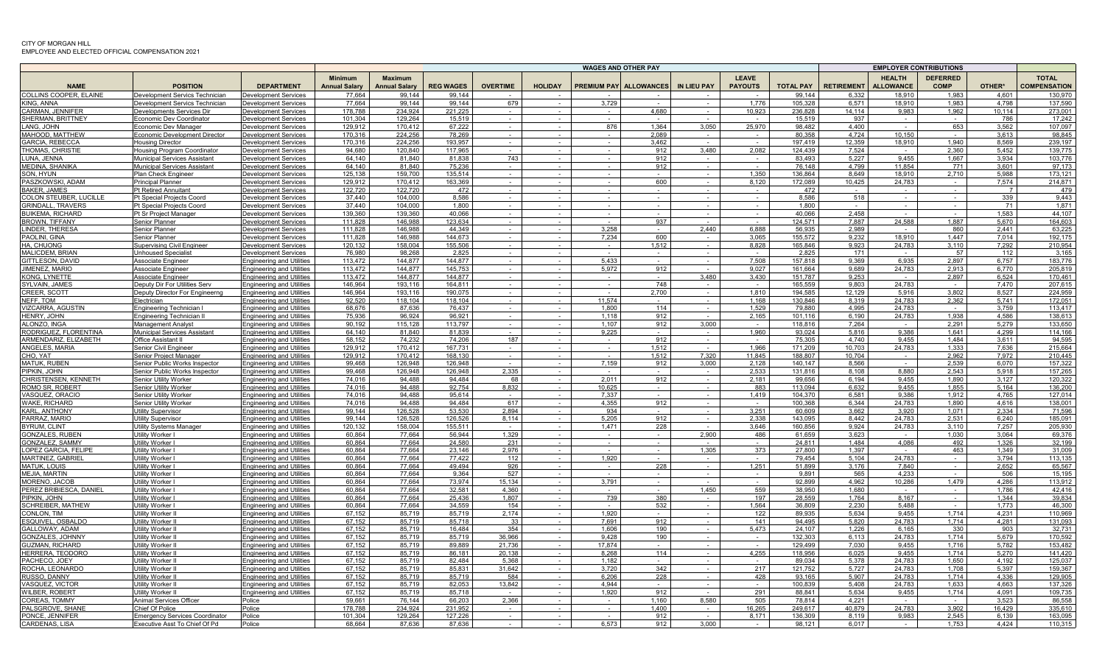|                                                |                                                                 |                                                                      |                                        |                                        |                    |                 |                  |                | WAGES AND OTHER PAY           |                  |                                |                    |                   |                                   | <b>EMPLOYER CONTRIBUTIONS</b> |                 |                                     |
|------------------------------------------------|-----------------------------------------------------------------|----------------------------------------------------------------------|----------------------------------------|----------------------------------------|--------------------|-----------------|------------------|----------------|-------------------------------|------------------|--------------------------------|--------------------|-------------------|-----------------------------------|-------------------------------|-----------------|-------------------------------------|
| <b>NAME</b>                                    | <b>POSITION</b>                                                 | <b>DEPARTMENT</b>                                                    | <b>Minimum</b><br><b>Annual Salarv</b> | <b>Maximum</b><br><b>Annual Salary</b> | <b>REG WAGES</b>   | <b>OVERTIME</b> | <b>HOLIDAY</b>   |                | <b>PREMIUM PAY ALLOWANCES</b> | IN LIEU PAY      | <b>LEAVE</b><br><b>PAYOUTS</b> | <b>TOTAL PAY</b>   | <b>RETIREMENT</b> | <b>HEALTH</b><br><b>ALLOWANCE</b> | <b>DEFERRED</b><br>COMP       | OTHER*          | <b>TOTAL</b><br><b>COMPENSATION</b> |
| COLLINS COOPER, ELAINE                         | Development Servics Technician                                  | Development Services                                                 | 77.664                                 | 99.144                                 | 99.144             |                 |                  |                |                               |                  |                                | 99.144             | 6,332             | 18.910                            | 1.983                         | 4.601           | 130,970                             |
| <b>KING, ANNA</b>                              | Development Servics Technician                                  | <b>Development Services</b>                                          | 77.664                                 | 99.144                                 | 99.144             | 679             | $\sim$           | 3.729          |                               |                  | 1.776                          | 105.328            | 6.571             | 18.910                            | 1.983                         | 4.798           | 137.590                             |
| CARMAN, JENNIFER<br><b>SHERMAN, BRITTNEY</b>   | Developments Services Dir<br>Economic Dev Coordinator           | <b>Development Services</b><br><b>Development Services</b>           | 178.788<br>101.304                     | 234.924<br>129,264                     | 221.225<br>15.519  |                 | $\sim$<br>$\sim$ |                | 4.680<br>$\sim$               | $\sim$           | 10.923<br>$\sim$               | 236.828<br>15.519  | 14.114<br>937     | 9.983                             | 1.962                         | 10.114<br>786   | 273,001<br>17,242                   |
| LANG, JOHN                                     | Economic Dev Manager                                            | <b>Development Services</b>                                          | 129,912                                | 170,412                                | 67,222             |                 | $\sim$           | 876            | 1,364                         | 3,050            | 25,970                         | 98.482             | 4.400             | $\sim$                            | 653                           | 3,562           | 107,097                             |
| MAHOOD, MATTHEW                                | conomic Development Director                                    | Development Services                                                 | 170,316                                | 224,256                                | 78,269             |                 |                  |                | 2,089                         |                  | $\sim$                         | 80,358             | 4,724             | 10.150                            |                               | 3,613           | 98,845                              |
| GARCIA, REBECCA                                | Housing Director                                                | Development Services                                                 | 170,316                                | 224,256                                | 193,957            |                 | $\sim$           | $\sim$         | 3,462                         | $\sim$ 10 $\pm$  | $\sim$                         | 197,419            | 12,359            | 18,910                            | 1,940                         | 8,569           | 239,197                             |
| THOMAS, CHRISTIE                               | Housing Program Coordinator                                     | Development Services                                                 | 94.680                                 | 120,840                                | 117.965            |                 | $\sim$           | $\sim$         | 912                           | 3,480            | 2,082                          | 124,439            | 7,524             | $\sim$                            | 2.360                         | 5,452           | 139,775                             |
| LUNA, JENNA                                    | <b>Municipal Services Assistant</b>                             | <b>Development Services</b>                                          | 64.140                                 | 81,840                                 | 81.838             | 743             | $\sim$           |                | 912                           | $\sim$           | $\sim$                         | 83.493             | 5,227             | 9,455                             | 1.667                         | 3.934           | 103.776                             |
| MEDINA, SHANIKA                                | Municipal Services Assistant                                    | <b>Development Services</b>                                          | 64.140                                 | 81,840                                 | 75,236<br>135.514  | $\sim$          | $\sim$           | $\sim$         | 912                           | $\sim$           | $\sim$<br>1.350                | 76,148             | 4,799<br>8.649    | 11,854<br>18.910                  | 771<br>2,710                  | 3,601<br>5.988  | 97,173<br>173.121                   |
| SON, HYUN<br>PASZKOWSKI, ADAM                  | Plan Check Engineer<br><b>Principal Planner</b>                 | <b>Development Services</b><br><b>Development Services</b>           | 125,138<br>129,912                     | 159,700<br>170,412                     | 163.369            |                 | $\sim$           |                | $\sim$<br>600                 | $\sim$<br>$\sim$ | 8,120                          | 136,864<br>172,089 | 10,425            | 24,783                            | $\sim$                        | 7,574           | 214,871                             |
| <b>BAKER, JAMES</b>                            | <b>Pt Retired Annuitant</b>                                     | <b>Development Services</b>                                          | 122.720                                | 122.720                                | 472                |                 |                  |                |                               |                  | $\sim$                         | 472                |                   |                                   | $\sim$                        |                 | 479                                 |
| COLON STEUBER, LUCILLE                         | Pt Special Projects Coord                                       | <b>Development Services</b>                                          | 37.440                                 | 104.000                                | 8.586              |                 |                  |                |                               |                  |                                | 8.586              | 518               |                                   |                               | 339             | 9.443                               |
| <b>GRINDALL, TRAVERS</b>                       | Pt Special Projects Coord                                       | <b>Development Services</b>                                          | 37,440                                 | 104,000                                | 1.800              |                 |                  |                |                               |                  | $\sim$                         | 1,800              |                   |                                   |                               | 71              | 1,871                               |
| <b>BUIKEMA, RICHARD</b>                        | Pt Sr Project Manager                                           | <b>Development Services</b>                                          | 139.360                                | 139.360                                | 40.066             |                 |                  |                |                               |                  |                                | 40.066             | 2.458             |                                   |                               | 1.583           | 44.107                              |
| <b>BROWN, TIFFANY</b>                          | Senior Planner                                                  | Development Services                                                 | 111.828<br>111.828                     | 146,988<br>146.988                     | 123,634<br>44.349  |                 |                  | 3,258          | 937                           | 2.440            | 6.888                          | 124,571            | 7.887<br>2.989    | 24,588                            | 1.887<br>860                  | 5,670<br>2.441  | 164,603<br>63,225                   |
| LINDER. THERESA<br>PAOLINI, GINA               | Senior Planner<br>Senior Planner                                | Development Services<br>Development Services                         | 111,828                                | 146.988                                | 144.673            |                 |                  | 7,234          | 600                           |                  | 3,065                          | 56.935<br>155,572  | 9,232             | 18,910                            | 1.447                         | 7.014           | 192,175                             |
| HA, CHUONG                                     | Supervising Civil Engineer                                      | Development Services                                                 | 120,132                                | 158,004                                | 155,506            | $\sim$          | $\sim$           | $\sim$         | 1,512                         | $\sim$           | 8,828                          | 165,846            | 9,923             | 24,783                            | 3,110                         | 7,292           | 210,954                             |
| <b>MALICDEM, BRIAN</b>                         | <b>Unhoused Specialist</b>                                      | Development Services                                                 | 76.980                                 | 98.268                                 | 2.825              |                 | $\sim$           |                | $\sim$                        | $\sim$           | $\sim$                         | 2.825              | 171               |                                   | 57                            | 112             | 3.165                               |
| GITTLESON, DAVID                               | Associate Engineer                                              | <b>Engineering and Utilities</b>                                     | 113.472                                | 144.877                                | 144.877            |                 | $\sim$           | 5,433          |                               | $\sim$           | 7,508                          | 157,818            | 9,369             | 6,935                             | 2,897                         | 6.757           | 183,776                             |
| JIMENEZ, MARIO                                 | Associate Engineer                                              | <b>Engineering and Utilities</b>                                     | 113.472                                | 144.877                                | 145.753            |                 |                  | 5.972          | 912                           |                  | 9.027                          | 161.664            | 9.689             | 24.783                            | 2.913                         | 6.770           | 205.819                             |
| KONG, LYNETTE                                  | Associate Engineer                                              | <b>Engineering and Utilities</b>                                     | 113.472<br>146,964                     | 144.877<br>193,116                     | 144.877<br>164,811 |                 |                  |                | 748                           | 3.480            | 3,430                          | 151.787<br>165,559 | 9,253<br>9,803    | 24,783                            | 2,897                         | 6,524<br>7.470  | 170,461<br>207,615                  |
| SYLVAIN, JAMES<br>CREER, SCOTT                 | Jeputy Dir For Utilities Serv<br>Deputy Director For Engineerng | Engineering and Utilities<br><b>Engineering and Utilities</b>        | 146,964                                | 193,116                                | 190,075            |                 | $\sim$<br>$\sim$ |                | 2,700                         | $\sim$           | $\sim$<br>1,810                | 194,585            | 12,129            | 5,916                             | $\sim$<br>3,802               | 8,527           | 224,959                             |
| NEFF. TOM                                      | Electriciar                                                     | <b>Engineering and Utilities</b>                                     | 92,520                                 | 118,104                                | 118.104            |                 |                  | 11.574         | $\sim$                        |                  | 1,168                          | 130,846            | 8,319             | 24,783                            | 2,362                         | 5.741           | 172,051                             |
| VIZCARRA, AGUSTIN                              | Engineering Technician I                                        | <b>Engineering and Utilities</b>                                     | 68.676                                 | 87,636                                 | 76.437             |                 | $\sim$           | 1.800          | 114                           | $\sim$           | 1.529                          | 79.880             | 4.995             | 24.783                            |                               | 3.759           | 113.417                             |
| HENRY, JOHN                                    | Ingineering Technician I                                        | <b>Engineering and Utilities</b>                                     | 75,936                                 | 96,924                                 | 96,921             |                 |                  | 1.118          | 912                           |                  | 2,165                          | 101,116            | 6,190             | 24,783                            | 1,938                         | 4,586           | 138,613                             |
| ALONZO, INGA                                   | Management Analyst                                              | Engineering and Utilities                                            | 90,192                                 | 115,128                                | 113,797            |                 | $\sim$           | 1,107          | 912                           | 3,000            | $\sim$                         | 118,816            | 7,264             |                                   | 2,291                         | 5,279           | 133,650                             |
| RODRIGUEZ, FLORENTINA                          | Municipal Services Assistant                                    | <b>Engineering and Utilities</b>                                     | 64,140                                 | 81,840                                 | 81,839             |                 | $\sim$           | 9,225          | $\sim$                        |                  | 1,960                          | 93,024             | 5,816             | 9,386                             | 1,641                         | 4,299           | 114,166                             |
| ARMENDARIZ, ELIZABETH<br>ANGELES, MARIA        | Office Assistant II<br>Senior Civil Engineer                    | <b>Engineering and Utilities</b><br><b>Engineering and Utilities</b> | 58.152<br>129.912                      | 74,232<br>170.412                      | 74.206<br>167.731  | 187             | $\sim$           |                | 912<br>1.512                  | $\sim$           | $\sim$<br>1.966                | 75,305<br>171.209  | 4.740<br>10.703   | 9.455<br>24.783                   | 1.484<br>1.333                | 3.611<br>7.636  | 94.595<br>215.664                   |
| CHO, YAT                                       | Senior Project Manage                                           | <b>Engineering and Utilities</b>                                     | 129.912                                | 170,412                                | 168.130            |                 |                  |                | 1,512                         | 7.320            | 11.845                         | 188,807            | 10.704            |                                   | 2,962                         | 7.972           | 210,445                             |
| MATUK, RUBEN                                   | Senior Public Works Inspector                                   | <b>Engineering and Utilities</b>                                     | 99.468                                 | 126.948                                | 126.948            |                 |                  | 7.159          | 912                           | 3.000            | 2,128                          | 140.147            | 8.566             |                                   | 2.539                         | 6.070           | 157,322                             |
| PIPKIN, JOHN                                   | Senior Public Works Inspector                                   | <b>Engineering and Utilities</b>                                     | 99,468                                 | 126,948                                | 126,948            | 2,335           |                  |                |                               |                  | 2,533                          | 131,816            | 8,108             | 8,880                             | 2,543                         | 5,918           | 157,265                             |
| CHRISTENSEN, KENNETH                           | Senior Utility Workeı                                           | <b>Engineering and Utilities</b>                                     | 74.016                                 | 94,488                                 | 94.484             | 68              |                  | 2,011          | 912                           |                  | 2,181                          | 99,656             | 6.194             | 9,455                             | 1,890                         | 3.127           | 120,322                             |
| ROMO SR, ROBERT                                | Senior Utility Worker                                           | <b>Engineering and Utilities</b>                                     | 74,016<br>74.016                       | 94,488<br>94.488                       | 92,754<br>95,614   | 8,832           |                  | 10,625         |                               | $\sim$           | 883<br>1,419                   | 113,094            | 6,632<br>6.581    | 9,455<br>9,386                    | 1,855<br>1.912                | 5,164<br>4.765  | 136,200                             |
| VASQUEZ, ORACIO<br>WAKE, RICHARD               | Senior Utility Worker<br>Senior Utility Worker                  | <b>Engineering and Utilities</b><br><b>Engineering and Utilities</b> | 74.016                                 | 94.488                                 | 94.484             | 617             | $\sim$           | 7,337<br>4,355 | 912                           | $\sim$           | $\sim$                         | 104,370<br>100,368 | 6.344             | 24,783                            | 1.890                         | 4.616           | 127,014<br>138,001                  |
| KARL, ANTHONY                                  | Jtility Supervisor                                              | <b>Engineering and Utilities</b>                                     | 99,144                                 | 126,528                                | 53,530             | 2,894           |                  | 934            |                               | $\sim$           | 3,251                          | 60,609             | 3,662             | 3,920                             | 1,071                         | 2,334           | 71,596                              |
| PARRAZ, MARIO                                  | <b>Utility Supervisor</b>                                       | <b>Engineering and Utilities</b>                                     | 99.144                                 | 126,528                                | 126,526            | 8.114           | $\sim$           | 5,205          | 912                           | $\sim$           | 2,338                          | 143,095            | 8.442             | 24,783                            | 2.531                         | 6.240           | 185,091                             |
| <b>BYRUM, CLINT</b>                            | Utility Systems Manager                                         | <b>Engineering and Utilities</b>                                     | 120,132                                | 158,004                                | 155,511            |                 | $\sim$           | 1,471          | 228                           | $\sim$ $-$       | 3,646                          | 160,856            | 9,924             | 24,783                            | 3,110                         | 7,257           | 205,930                             |
| <b>GONZALES, RUBEN</b>                         | Utility Worker I                                                | <b>Engineering and Utilities</b>                                     | 60.864                                 | 77.664                                 | 56.944             | 1.329           | $\sim$           |                | $\sim$                        | 2.900            | 486                            | 61.659             | 3.623             | 4.086                             | 1.030                         | 3.064           | 69.376                              |
| <b>GONZALEZ, SAMMY</b><br>LOPEZ GARCIA, FELIPI | Utility Worker I<br>Utility Worker I                            | <b>Engineering and Utilities</b><br><b>Engineering and Utilities</b> | 60.864<br>60,864                       | 77.664<br>77,664                       | 24.580<br>23,146   | 231<br>2,976    | $\sim$<br>$\sim$ |                | $\sim$<br>$\sim$              | 1,305            | $\sim$<br>373                  | 24.811<br>27,800   | 1.484<br>1,397    |                                   | 492<br>463                    | 1.326<br>1,349  | 32.199<br>31,009                    |
| <b>MARTINEZ, GABRIEL</b>                       | Utility Worker I                                                | <b>Engineering and Utilities</b>                                     | 60.864                                 | 77,664                                 | 77,422             | 112             | $\sim$           | 1,920          | $\sim$                        | $\sim$ 10 $\pm$  | $\sim$                         | 79,454             | 5.104             | 24,783                            |                               | 3.794           | 113,135                             |
| <b>MATUK, LOUIS</b>                            | Utility Worker I                                                | <b>Engineering and Utilities</b>                                     | 60,864                                 | 77,664                                 | 49.494             | 926             |                  | $\sim$         | 228                           | $\sim$ 10 $\pm$  | 1,251                          | 51,899             | 3,176             | 7,840                             |                               | 2,652           | 65,567                              |
| <b>MEJIA, MARTIN</b>                           | Jtility Worker I                                                | Engineering and Utilities                                            | 60.864                                 | 77.664                                 | 9,364              | 527             | $\sim$           |                | $\sim$                        | $\sim$           | $\sim$                         | 9.891              | 565               | 4.233                             |                               | 506             | 15.195                              |
| MORENO, JACOB                                  | <b>Jtility Worker I</b>                                         | <b>Engineering and Utilities</b>                                     | 60.864                                 | 77,664                                 | 73.974             | 15.134          | $\sim$           | 3,791          |                               |                  | $\sim$                         | 92,899             | 4,962             | 10,286                            | 1,479                         | 4.286           | 113,912                             |
| PEREZ BRIBIESCA, DANIEI                        | Utility Worker I                                                | <b>Engineering and Utilities</b>                                     | 60,864                                 | 77,664                                 | 32,581             | 4,360           | $\sim$           |                | $\sim$                        | 1,450            | 559                            | 38,950             | 1,680             | $\sim$                            | $\sim$                        | 1,786           | 42,416                              |
| PIPKIN, JOHN<br>SCHREIBER, MATHEW              | Utility Worker I<br>Utility Worker I                            | <b>Engineering and Utilities</b><br><b>Engineering and Utilities</b> | 60.864<br>60,864                       | 77.664<br>77,664                       | 25.436<br>34.559   | 1.807<br>154    | $\sim$<br>$\sim$ | 739            | 380<br>532                    | $\sim$<br>$\sim$ | 197<br>1,564                   | 28,559<br>36,809   | 1.764<br>2,230    | 8.167<br>5.488                    | $\sim$<br>$\sim$              | 1.344<br>1.773  | 39,834<br>46,300                    |
| CONLON. TIM                                    | Utility Worker II                                               | <b>Engineering and Utilities</b>                                     | 67.152                                 | 85.719                                 | 85.719             | 2.174           | $\sim$           | 1.920          |                               |                  | 122                            | 89.935             | 5.634             | 9.455                             | 1.714                         | 4.231           | 110.969                             |
| ESQUIVEL, OSBALDO                              | Utility Worker II                                               | <b>Engineering and Utilities</b>                                     | 67.152                                 | 85.719                                 | 85.718             | 33              |                  | 7.691          | 912                           |                  | 141                            | 94.495             | 5.820             | 24.783                            | 1.714                         | 4.281           | 131.093                             |
| GALLOWAY, ADAM                                 | Jtility Worker II                                               | Engineering and Utilities                                            | 67.152                                 | 85.719                                 | 16.484             | 354             |                  | 1,606          | 190                           |                  | 5,473                          | 24,107             | 1,226             | 6.165                             | 330                           | 903             | 32,731                              |
| GONZALES, JOHNNY                               | Utility Worker II                                               | <b>Engineering and Utilities</b>                                     | 67,152                                 | 85,719                                 | 85.719             | 36.966          |                  | 9,428          | 190                           |                  | $\sim$                         | 132,303            | 6,113             | 24,783                            | 1,714                         | 5,679           | 170,592                             |
| <b>GUZMAN, RICHARD</b>                         | Jtility Worker II                                               | <b>Engineering and Utilities</b>                                     | 67,152                                 | 85,719                                 | 89.889             | 21,736          |                  | 17.874         | 114                           |                  | 4,255                          | 129,499            | 7,030             | 9,455                             | 1.716<br>1.714                | 5,782           | 153,482                             |
| HERRERA, TEODORC<br>PACHECO, JOEY              | Jtility Worker II<br>Utility Worker II                          | <b>Engineering and Utilities</b><br><b>Engineering and Utilities</b> | 67.152<br>67.152                       | 85.719<br>85.719                       | 86.181<br>82.484   | 20.138<br>5,368 |                  | 8.268<br>1.182 |                               |                  | $\sim$                         | 118.956<br>89,034  | 6.025<br>5,378    | 9.455<br>24,783                   | 1.650                         | 5.270<br>4.192  | 141.420<br>125,037                  |
| ROCHA, LEONARDC                                | Utility Worker II                                               | <b>Engineering and Utilities</b>                                     | 67,152                                 | 85,719                                 | 85.831             | 31.642          | $\sim$           | 3,720          | 342                           | $\sim$           | 217                            | 121,752            | 5,727             | 24,783                            | 1,708                         | 5.397           | 159,367                             |
| RUSSO, DANNY                                   | Utility Worker II                                               | <b>Engineering and Utilities</b>                                     | 67,152                                 | 85,719                                 | 85,719             | 584             |                  | 6,206          | 228                           | $\sim$           | 428                            | 93,165             | 5,907             | 24,783                            | 1,714                         | 4,336           | 129,905                             |
| VASQUEZ, VICTOR                                | Utility Worker II                                               | <b>Engineering and Utilities</b>                                     | 67,152                                 | 85,719                                 | 82.053             | 13.842          | $\sim$           | 4.944          |                               |                  | $\sim$                         | 100,839            | 5.408             | 24,783                            | 1,633                         | 4.663           | 137,326                             |
| <b>WILBER, ROBERT</b>                          | Utility Worker II                                               | <b>Engineering and Utilities</b>                                     | 67.152                                 | 85.719                                 | 85.718             |                 | $\sim$           | 1.920          | 912                           |                  | 291                            | 88.841             | 5.634             | 9.455                             | 1.714                         | 4.091           | 109.735                             |
| <b>COREAS, TOMMY</b><br>PALSGROVE, SHANI       | Animal Services Officer<br>Chief Of Police                      | Police<br>Police                                                     | 59.661<br>178.788                      | 76.144<br>234.924                      | 66.203<br>231.952  | 2.366           |                  |                | 1.160<br>1.400                | 8.580            | 505<br>16.265                  | 78.814<br>249.617  | 4.221<br>40.879   | 24.783                            | 3.902                         | 3.523<br>16.429 | 86.558<br>335.610                   |
| PONCE, JENNIFER                                | <b>Emergency Services Coordinator</b>                           | Police                                                               | 101,304                                | 129,264                                | 127,226            |                 |                  |                | 912                           |                  | 8,171                          | 136,309            | 8,119             | 9,983                             | 2,545                         | 6,139           | 163,095                             |
| CARDENAS, LISA                                 | Executive Asst To Chief Of Pd                                   | Police                                                               | 68.664                                 | 87.636                                 | 87.636             |                 |                  | 6.573          | 912                           | 3,000            |                                | 98,121             | 6.017             |                                   | 1.753                         | 4.424           | 110.315                             |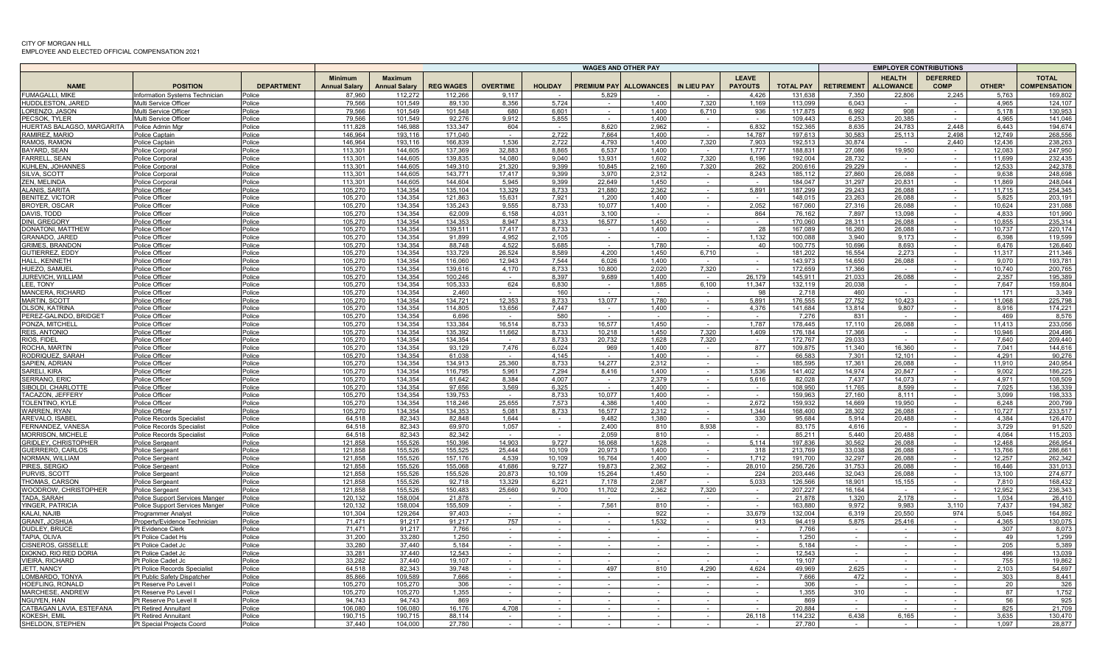|                                                 |                                                      |                   |                                        |                                        |                    |                  | <b>WAGES AND OTHER PAY</b> |                  |                               |                          |                                |                    |                   | <b>EMPLOYER CONTRIBUTIONS</b>     |                             |                  |                                     |  |
|-------------------------------------------------|------------------------------------------------------|-------------------|----------------------------------------|----------------------------------------|--------------------|------------------|----------------------------|------------------|-------------------------------|--------------------------|--------------------------------|--------------------|-------------------|-----------------------------------|-----------------------------|------------------|-------------------------------------|--|
| <b>NAME</b>                                     | <b>POSITION</b>                                      | <b>DEPARTMENT</b> | <b>Minimum</b><br><b>Annual Salary</b> | <b>Maximum</b><br><b>Annual Salary</b> | <b>REG WAGES</b>   | <b>OVERTIME</b>  | <b>HOLIDAY</b>             |                  | <b>PREMIUM PAY ALLOWANCES</b> | IN LIEU PAY              | <b>LEAVE</b><br><b>PAYOUTS</b> | <b>TOTAL PAY</b>   | <b>RETIREMENT</b> | <b>HEALTH</b><br><b>ALLOWANCE</b> | <b>DEFERRED</b><br>COMP     | OTHER*           | <b>TOTAL</b><br><b>COMPENSATION</b> |  |
| <b>FUMAGALLI, MIKE</b>                          | Information Systems Technician                       | Police            | 87,960                                 | 112,272                                | 112,266            | 9.117            |                            | 5.829            |                               |                          | 4.426                          | 131.638            | 7,350             | 22,806                            | 2,245                       | 5,763            | 169,802                             |  |
| HUDDLESTON, JARED                               | Multi Service Officer                                | Police            | 79.566                                 | 101.549                                | 89.130             | 8.356            | 5.724                      |                  | 1.400                         | 7,320                    | 1.169                          | 113.099            | 6.043             |                                   |                             | 4.965            | 124.107                             |  |
| ORENZO, JASON                                   | Multi Service Officer                                | Police            | 79,566                                 | 101,549                                | 101,548            | 680              | 6.601                      |                  | 1,400                         | 6,710                    | 936                            | 117.875            | 6,992             | 908                               |                             | 5.178            | 130,953                             |  |
| PECSOK, TYLER<br>HUERTAS BALAGSO, MARGARITA     | Multi Service Officer<br>Police Admin Mgr            | Police<br>Police  | 79,566<br>111,828                      | 101,549<br>146.988                     | 92,276<br>133.347  | 9,912<br>604     | 5,855<br>$\sim$            | $\sim$<br>8,620  | 1.400<br>2,962                | $\sim$                   | 6,832                          | 109.443<br>152,365 | 6,253<br>8,635    | 20,385<br>24,783                  | $\sim$<br>2.448             | 4.965<br>6.443   | 141.046<br>194.674                  |  |
| RAMIREZ. MARIO                                  | Police Captain                                       | Police            | 146.964                                | 193.116                                | 171.040            | $\sim$           | 2,722                      | 7.664            | 1,400                         |                          | 14.787                         | 197.613            | 30.583            | 25,113                            | 2.498                       | 12.749           | 268.556                             |  |
| RAMOS, RAMON                                    | Police Captain                                       | Police            | 146,964                                | 193,116                                | 166.839            | 1.536            | 2,722                      | 4,793            | 1,400                         | 7,320                    | 7,903                          | 192,513            | 30,874            |                                   | 2,440                       | 12,436           | 238,263                             |  |
| BAYARD, SEAN                                    | Police Corpora                                       | Police            | 113.301                                | 144.605                                | 137.369            | 32.883           | 8.865                      | 6.537            | 1.400                         |                          | 1.777                          | 188.831            | 27.086            | 19.950                            | $\sim$                      | 12.083           | 247.950                             |  |
| <b>FARRELL, SEAN</b>                            | Police Corpora                                       | Police            | 113.301                                | 144.605                                | 139.835            | 14.080           | 9.040                      | 13.931           | 1.602                         | 7.320                    | 6.196                          | 192.004            | 28.732            |                                   | $\sim$                      | 11.699           | 232.435                             |  |
| KUHLEN, JOHANNES                                | Police Corporal                                      | Police            | 113.301                                | 144.605                                | 149.310            | 21.320           | 9.399                      | 10.845           | 2.160                         | 7.320                    | 262                            | 200.616            | 29.229            |                                   | $\sim$                      | 12.533           | 242.378                             |  |
| SILVA, SCOTT<br>ZEN. MELINDA                    | Police Corporal                                      | Police<br>Police  | 113,301<br>113.301                     | 144,605<br>144.605                     | 143,771<br>144.604 | 17,417<br>5.945  | 9,399<br>9.399             | 3,970<br>22,649  | 2,312<br>1.450                | $\sim$                   | 8,243                          | 185,112<br>184.047 | 27,860<br>31.297  | 26,088<br>20,831                  |                             | 9,638<br>11.869  | 248,698<br>248,044                  |  |
| ALANIS, SARITA                                  | Police Corporal<br>Police Officer                    | Police            | 105,270                                | 134,354                                | 135,104            | 13,329           | 8.733                      | 21,880           | 2,362                         |                          | 5,891                          | 187,299            | 29,243            | 26,088                            |                             | 11.715           | 254,345                             |  |
| <b>BENITEZ, VICTOF</b>                          | Police Officer                                       | Police            | 105.270                                | 134.354                                | 121.863            | 15.631           | 7.921                      | 1.200            | 1.400                         | $\sim$                   |                                | 148.015            | 23.263            | 26.088                            |                             | 5.825            | 203.191                             |  |
| BROYER, OSCAR                                   | Police Officer                                       | olice             | 105,270                                | 134.354                                | 135.243            | 9.555            | 8.733                      | 10,077           | 1.400                         |                          | 2,052                          | 167.060            | 27.316            | 26.088                            |                             | 10,624           | 231,088                             |  |
| DAVIS, TODD                                     | Police Officer                                       | Police            | 105,270                                | 134,354                                | 62.009             | 6.158            | 4.031                      | 3,100            | $\sim$                        | $\sim$                   | 864                            | 76,162             | 7,897             | 13.098                            | $\sim$                      | 4.833            | 101,990                             |  |
| DINI, GREGORY                                   | Police Officer                                       | Police            | 105,270                                | 134,354                                | 134,353            | 8 9 4 7          | 8,733                      | 16,577           | 1,450                         | $\sim$                   | $\sim$                         | 170,060            | 28,311            | 26,088                            | $\sim$                      | 10,855           | 235,314                             |  |
| DONATONI, MATTHEW                               | Police Officer                                       | Police            | 105,270                                | 134.354                                | 139.511<br>91.899  | 17.417           | 8.733                      | $\sim$           | 1,400                         | $\sim$                   | 28                             | 167.089            | 16,260            | 26.088<br>9.173                   | $\sim$                      | 10.737<br>6.398  | 220,174<br>119.599                  |  |
| <b>GRANADO, JARED</b><br><b>GRIMES, BRANDON</b> | Police Officer<br>Police Officer                     | Police<br>Police  | 105,270<br>105.270                     | 134,354<br>134.354                     | 88.748             | 4,952<br>4.522   | 2,105<br>5.685             | $\sim$           | $\sim$<br>1.780               |                          | 1,132<br>40                    | 100,088<br>100.775 | 3,940<br>10.696   | 8.693                             | $\sim$<br>$\sim$            | 6.476            | 126.640                             |  |
| GUTIERREZ, EDDY                                 | Police Officer                                       | Police            | 105,270                                | 134,354                                | 133,729            | 26,524           | 8.589                      | 4.200            | 1,450                         | 6,710                    | $\sim$                         | 181,202            | 16.554            | 2,273                             | $\sim$                      | 11.317           | 211,346                             |  |
| HALL, KENNETH                                   | Police Officer                                       | Police            | 105,270                                | 134.354                                | 116.060            | 12.943           | 7.544                      | 6.026            | 1,400                         | $\sim$                   | $\sim$                         | 143.973            | 14.650            | 26.088                            | $\sim$                      | 9.070            | 193,781                             |  |
| HUEZO, SAMUE                                    | Police Officer                                       | Police            | 105,270                                | 134,354                                | 139,616            | 4,170            | 8,733                      | 10,800           | 2,020                         | 7,320                    | $\sim$                         | 172,659            | 17,366            |                                   |                             | 10,740           | 200,765                             |  |
| JUREVICH, WILLIAM                               | Police Officer                                       | Police            | 105,270                                | 134,354                                | 100,246            | $\sim$           | 8.397                      | 9,689            | 1,400                         |                          | 26,179                         | 145,911            | 21,033            | 26,088                            |                             | 2,357            | 195,389                             |  |
| LEE. TONY                                       | Police Officer                                       | Police            | 105.270                                | 134.354                                | 105.333            | 624              | 6.830                      | $\sim$           | 1,885                         | 6,100                    | 11.347                         | 132.119            | 20.038            |                                   |                             | 7.647            | 159.804                             |  |
| MANCERA, RICHARD<br><b>MARTIN, SCOTT</b>        | Police Officer<br>Police Officer                     | Police<br>Police  | 105,270<br>105,270                     | 134.354<br>134.354                     | 2.460<br>134.721   | $\sim$<br>12.353 | 160<br>8.733               | 13,077           | 1.780                         | $\sim$                   | 98<br>5.891                    | 2.718<br>176.555   | 460<br>27,752     | 10,423                            | $\sim$                      | 171<br>11.068    | 3,349<br>225,798                    |  |
| OLSON, KATRINA                                  | Police Officer                                       | Police            | 105,270                                | 134,354                                | 114,805            | 13,656           | 7,447                      | $\sim$           | 1,400                         | $\overline{\phantom{a}}$ | 4,376                          | 141,684            | 13,814            | 9,807                             | $\sim$                      | 8.916            | 174,221                             |  |
| PEREZ-GALINDO. BRIDGET                          | Police Officer                                       | Police            | 105,270                                | 134.354                                | 6.696              |                  | 580                        |                  |                               |                          | $\sim$                         | 7,276              | 831               |                                   | $\sim$                      | 469              | 8.576                               |  |
| PONZA, MITCHELL                                 | Police Officer                                       | Police            | 105,270                                | 134,354                                | 133,384            | 16.514           | 8,733                      | 16,577           | 1,450                         |                          | 1,787                          | 178,445            | 17,110            | 26,088                            | $\sim$                      | 11,413           | 233,056                             |  |
| REIS, ANTONIO                                   | Police Officer                                       | Police            | 105.270                                | 134.354                                | 135.392            | 11.662           | 8.733                      | 10.218           | 1.450                         | 7.320                    | 1.409                          | 176.184            | 17.366            |                                   |                             | 10.946           | 204.496                             |  |
| RIOS, FIDEI                                     | Police Officer                                       | Police            | 105,270                                | 134,354                                | 134,354            |                  | 8.733                      | 20.732           | 1,628                         | 7,320                    | $\sim$                         | 172,767            | 29,033            |                                   | $\sim$                      | 7.640            | 209.440                             |  |
| ROCHA, MARTIN                                   | Police Officer                                       | Police            | 105,270<br>105,270                     | 134.354<br>134,354                     | 93.129<br>61,038   | 7,476            | 6,024<br>4,145             | 969              | 1.400<br>1,400                |                          | 877                            | 109.875<br>66,583  | 11.340<br>7,301   | 16.360<br>12,101                  |                             | 7.041<br>4,291   | 144,616<br>90,276                   |  |
| RODRIQUEZ, SARAH<br>SAPIEN, ADRIAN              | Police Officer<br>Police Officer                     | Police<br>Police  | 105,270                                | 134.354                                | 134.913            | 25,360           | 8.733                      | 14.277           | 2,312                         |                          |                                | 185.595            | 17.361            | 26,088                            |                             | 11.910           | 240,954                             |  |
| SARELI, KIRA                                    | Police Officer                                       | Police            | 105.270                                | 134.354                                | 116.795            | 5.961            | 7.294                      | 8.416            | 1.400                         |                          | 1.536                          | 141.402            | 14.974            | 20.847                            |                             | 9.002            | 186,225                             |  |
| SERRANO, ERIC                                   | Police Officer                                       | Police            | 105,270                                | 134.354                                | 61.642             | 8.384            | 4.007                      | $\sim$           | 2,379                         |                          | 5,616                          | 82,028             | 7,437             | 14,073                            |                             | 4.971            | 108,509                             |  |
| SIBOLDI, CHARLOTTE                              | Police Officer                                       | Police            | 105,270                                | 134,354                                | 97,656             | 3,569            | 6,325                      | $\sim$           | 1,400                         | $\sim$                   | $\sim$                         | 108,950            | 11,765            | 8,599                             | $\sim$                      | 7,025            | 136,339                             |  |
| ACAZON, JEFFERY                                 | Police Officer                                       | Police            | 105,270                                | 134.354                                | 139.753            |                  | 8.733                      | 10,077           | 1,400                         | $\sim$                   | $\sim$                         | 159.963            | 27,160            | 8.111                             | $\sim$                      | 3.099            | 198,333                             |  |
| TOLENTINO, KYLI<br><b>WARREN, RYAN</b>          | Police Officer                                       | Police            | 105,270<br>105.270                     | 134,354<br>134.354                     | 118,246<br>134.353 | 25,655           | 7,573<br>8.733             | 4,386<br>16.577  | 1,400<br>2.312                | $\sim$                   | 2,672<br>1.344                 | 159,932<br>168.400 | 14 669<br>28.302  | 19,950                            | $\sim$                      | 6,248            | 200,799<br>233.517                  |  |
| AREVALO, ISABE                                  | Police Officer<br>Police Records Specialis           | Police<br>Police  | 64.518                                 | 82,343                                 | 82,848             | 5.081<br>1.644   | $\sim$ 10 $\pm$            | 9,482            | 1,380                         |                          | 330                            | 95,684             | 5,914             | 26.088<br>20.488                  | $\sim$                      | 10.727<br>4,384  | 126,470                             |  |
| FERNANDEZ, VANESA                               | Police Records Specialis                             | Police            | 64.518                                 | 82,343                                 | 69.970             | 1,057            | $\sim$                     | 2.400            | 810                           | 8.938                    | $\sim$                         | 83.175             | 4.616             |                                   |                             | 3,729            | 91,520                              |  |
| <b>MORRISON, MICHELE</b>                        | Police Records Specialis                             | Police            | 64.518                                 | 82,343                                 | 82,342             | $\sim$           | $\sim$                     | 2,059            | 810                           | $\sim$                   | $\sim$                         | 85,211             | 5,440             | 20,488                            | $\sim$                      | 4,064            | 115,203                             |  |
| <b>GRIDLEY, CHRISTOPHER</b>                     | Police Sergeant                                      | Police            | 121.858                                | 155,526                                | 150,396            | 14,903           | 9.727                      | 16.068           | 1,628                         | $\sim$                   | 5.114                          | 197.836            | 30,562            | 26.088                            | $\mathcal{L}^{\mathcal{A}}$ | 12,468           | 266,954                             |  |
| GUERRERO, CARLOS                                | Police Sergeant                                      | Police            | 121,858                                | 155,526                                | 155,525            | 25,444           | 10,109                     | 20,973           | 1,400                         |                          | 318                            | 213,769            | 33,038            | 26,088                            |                             | 13,766           | 286,661                             |  |
| <b>VORMAN, WILLIAM</b>                          | Police Sergeant                                      | Police            | 121.858                                | 155,526                                | 157.176            | 4.539<br>41.686  | 10.109                     | 16.764           | 1.400                         |                          | 1.712                          | 191.700            | 32,297            | 26,088                            |                             | 12,257<br>16.446 | 262,342                             |  |
| PIRES, SERGIO<br>PURVIS, SCOTT                  | Police Sergean<br>Polic <u>e Sergeant</u>            | Police<br>Police  | 121,858<br>121,858                     | 155,526<br>155,526                     | 155,068<br>155,526 | 20.873           | 9,727<br>10.109            | 19,873<br>15,264 | 2,362<br>1,450                | $\sim$<br>$\sim$         | 28,010<br>224                  | 256,726<br>203.446 | 31,753<br>32,043  | 26,088<br>26,088                  | $\sim$<br>$\sim$            | 13.100           | 331,013<br>274.677                  |  |
| <b>HOMAS, CARSON</b>                            | Police Sergeant                                      | Police            | 121.858                                | 155,526                                | 92.718             | 13.329           | 6,221                      | 7.178            | 2.087                         | $\sim$                   | 5.033                          | 126.566            | 18.901            | 15,155                            | $\sim$                      | 7.810            | 168.432                             |  |
| WOODROW, CHRISTOPHER                            | <b>Police Sergeant</b>                               | Police            | 121,858                                | 155,526                                | 150,483            | 25,660           | 9,700                      | 11,702           | 2,362                         | 7,320                    | $\sim$                         | 207,227            | 16.164            |                                   | $\sim$                      | 12,952           | 236,343                             |  |
| TADA, SARAH                                     | Police Support Services Manger                       | Police            | 120.132                                | 158,004                                | 21.878             |                  | $\sim$                     |                  |                               |                          | $\sim$                         | 21.878             | 1.320             | 2.178                             |                             | 1.034            | 26,410                              |  |
| YINGER, PATRICIA                                | Police Support Services Manger                       | Police            | 120.132                                | 158.004                                | 155.509            |                  | $\sim$                     | 7.561            | 810                           |                          |                                | 163.880            | 9.972             | 9.983                             | 3.110                       | 7.437            | 194.382                             |  |
| KALAI, NAJIB<br><b>GRANT, JOSHUA</b>            | Programmer Analvst                                   | Police            | 101.304<br>71.471                      | 129.264<br>91,217                      | 97.403<br>91.217   | 757              | $\sim$<br>$\sim$           | $\sim$           | 922<br>1,532                  |                          | 33.679<br>913                  | 132.004<br>94.419  | 6.319<br>5,875    | 20.550<br>25,416                  | 974<br>$\sim$               | 5.045<br>4.365   | 164.892<br>130.075                  |  |
| DUDLEY, BRUC                                    | Property/Evidence Technician<br>Pt Evidence Clerk    | Police<br>Police  | 71.471                                 | 91.217                                 | 7.766              |                  |                            |                  |                               |                          |                                | 7.766              |                   |                                   |                             | 307              | 8,073                               |  |
| <b>TAPIA, OLIVA</b>                             | Pt Police Cadet Hs                                   | Police            | 31,200                                 | 33,280                                 | 1,250              |                  |                            |                  |                               |                          |                                | 1,250              |                   |                                   |                             | 49               | 1,299                               |  |
| CISNEROS, GISSELLE                              | Pt Police Cadet Jo                                   | Police            | 33.280                                 | 37.440                                 | 5.184              | $\sim$           |                            |                  |                               |                          |                                | 5.184              |                   |                                   |                             | 205              | 5.389                               |  |
| <b>DIOKNO, RIO RED DORIA</b>                    | Pt Police Cadet Jo                                   | Police            | 33.281                                 | 37.440                                 | 12.543             |                  |                            |                  |                               |                          |                                | 12.543             |                   |                                   |                             | 496              | 13.039                              |  |
| /IEIRA. RICHARD                                 | Pt Police Cadet Jc                                   | Police            | 33,282                                 | 37,440                                 | 19.107             | $\sim$           | $\sim$                     |                  |                               |                          |                                | 19.107             |                   |                                   |                             | 755              | 19.862                              |  |
| JETT, NANCY                                     | Pt Police Records Specialist                         | Police            | 64.518                                 | 82,343                                 | 39.748             | $\sim$           | $\sim$                     | 497              | 810                           | 4,290                    | 4,624                          | 49.969             | 2,625             | $\sim$                            | $\sim$                      | 2.103            | 54,697                              |  |
| LOMBARDO. TONYA<br>HOEFLING, RONALD             | Pt Public Safety Dispatcher<br>Pt Reserve Po Level I | Police<br>Police  | 85.866<br>105,270                      | 109.589<br>105,270                     | 7.666<br>306       | $\sim$           | $\sim$<br>$\sim$           | $\sim$           |                               |                          | $\sim$<br>$\sim$               | 7.666<br>306       | 472               | $\sim$                            | $\sim$<br>$\sim$            | 303<br>20        | 8.441<br>326                        |  |
| <b>MARCHESE, ANDREW</b>                         | Pt Reserve Po Level I                                | Police            | 105.270                                | 105.270                                | 1.355              |                  | $\sim$                     |                  |                               |                          |                                | 1.355              | 310               |                                   |                             | 87               | 1.752                               |  |
| NGUYEN, HAN                                     | Pt Reserve Po Level I                                | Police            | 94.743                                 | 94.743                                 | 869                |                  |                            |                  |                               |                          |                                | 869                |                   |                                   |                             | 56               | 925                                 |  |
| CATBAGAN LAVIA, ESTEFANA                        | <b>Pt Retired Annuitant</b>                          | Police            | 106.080                                | 106.080                                | 16.176             | 4.708            | $\sim$                     |                  |                               |                          |                                | 20.884             |                   |                                   |                             | 825              | 21,709                              |  |
| KOKESH, EMIL                                    | <b>Pt Retired Annuitant</b>                          | Police            | 190,715                                | 190,715                                | 88,114             |                  |                            |                  |                               |                          | 26,118                         | 114,232            | 6,438             | 6,165                             |                             | 3,635            | 130,470                             |  |
| SHELDON, STEPHEN                                | Pt Special Projects Coord                            | Police            | 37.440                                 | 104,000                                | 27.780             |                  |                            |                  |                               |                          |                                | 27.780             |                   |                                   |                             | 1.097            | 28,877                              |  |